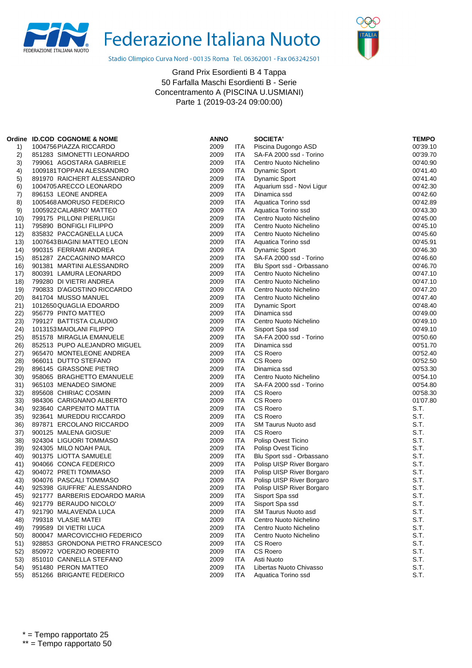



Stadio Olimpico Curva Nord - 00135 Roma Tel. 06362001 - Fax 063242501

|     | Ordine ID.COD COGNOME & NOME     | <b>ANNO</b> |            | <b>SOCIETA'</b>           | <b>TEMPO</b> |
|-----|----------------------------------|-------------|------------|---------------------------|--------------|
| 1)  | 1004756 PIAZZA RICCARDO          | 2009        | <b>ITA</b> | Piscina Dugongo ASD       | 00'39.10     |
| 2)  | 851283 SIMONETTI LEONARDO        | 2009        | ITA        | SA-FA 2000 ssd - Torino   | 00'39.70     |
| 3)  | 799061 AGOSTARA GABRIELE         | 2009        | ITA        | Centro Nuoto Nichelino    | 00'40.90     |
| 4)  | 1009181TOPPAN ALESSANDRO         | 2009        | <b>ITA</b> | <b>Dynamic Sport</b>      | 00'41.40     |
| 5)  | 891970 RAICHERT ALESSANDRO       | 2009        | <b>ITA</b> | <b>Dynamic Sport</b>      | 00'41.40     |
| 6)  | 1004705 ARECCO LEONARDO          | 2009        | ITA        | Aquarium ssd - Novi Ligur | 00'42.30     |
| 7)  | 896153 LEONE ANDREA              | 2009        | <b>ITA</b> | Dinamica ssd              | 00'42.60     |
| 8)  | 1005468 AMORUSO FEDERICO         | 2009        | <b>ITA</b> | Aquatica Torino ssd       | 00'42.89     |
| 9)  | 1005922 CALABRO' MATTEO          | 2009        | ITA        | Aquatica Torino ssd       | 00'43.30     |
| 10) | 799175 PILLONI PIERLUIGI         | 2009        | <b>ITA</b> | Centro Nuoto Nichelino    | 00'45.00     |
| 11) | 795890 BONFIGLI FILIPPO          | 2009        | ITA        | Centro Nuoto Nichelino    | 00'45.10     |
| 12) | 835832 PACCAGNELLA LUCA          | 2009        | ITA        | Centro Nuoto Nichelino    | 00'45.60     |
| 13) | 1007643 BIAGINI MATTEO LEON      | 2009        | <b>ITA</b> | Aquatica Torino ssd       | 00'45.91     |
| 14) | 990315 FERRAMI ANDREA            | 2009        | <b>ITA</b> | <b>Dynamic Sport</b>      | 00'46.30     |
| 15) | 851287 ZACCAGNINO MARCO          | 2009        | ITA        | SA-FA 2000 ssd - Torino   | 00'46.60     |
| 16) | 901381 MARTINI ALESSANDRO        | 2009        | <b>ITA</b> | Blu Sport ssd - Orbassano | 00'46.70     |
| 17) | 800391 LAMURA LEONARDO           | 2009        | ITA        | Centro Nuoto Nichelino    | 00'47.10     |
| 18) | 799280 DI VIETRI ANDREA          | 2009        | ITA        | Centro Nuoto Nichelino    | 00'47.10     |
| 19) | 790833 D'AGOSTINO RICCARDO       | 2009        | <b>ITA</b> | Centro Nuoto Nichelino    | 00'47.20     |
| 20) | 841704 MUSSO MANUEL              | 2009        | ITA        | Centro Nuoto Nichelino    | 00'47.40     |
| 21) | 1012650 QUAGLIA EDOARDO          | 2009        | ITA        | <b>Dynamic Sport</b>      | 00'48.40     |
| 22) | 956779 PINTO MATTEO              | 2009        | <b>ITA</b> | Dinamica ssd              | 00'49.00     |
| 23) | 799127 BATTISTA CLAUDIO          | 2009        | <b>ITA</b> | Centro Nuoto Nichelino    | 00'49.10     |
| 24) | 1013153 MAIOLANI FILIPPO         | 2009        | <b>ITA</b> | Sisport Spa ssd           | 00'49.10     |
| 25) | 851578 MIRAGLIA EMANUELE         | 2009        | <b>ITA</b> | SA-FA 2000 ssd - Torino   | 00'50.60     |
| 26) | 852513 PUPO ALEJANDRO MIGUEL     | 2009        | ITA        | Dinamica ssd              | 00'51.70     |
| 27) | 965470 MONTELEONE ANDREA         | 2009        | <b>ITA</b> | <b>CS Roero</b>           | 00'52.40     |
| 28) | 966011 DUTTO STEFANO             | 2009        | <b>ITA</b> | CS Roero                  | 00'52.50     |
| 29) | 896145 GRASSONE PIETRO           | 2009        | ITA        | Dinamica ssd              | 00'53.30     |
| 30) | 958065 BRAGHETTO EMANUELE        | 2009        | ITA        | Centro Nuoto Nichelino    | 00'54.10     |
| 31) | 965103 MENADEO SIMONE            | 2009        | <b>ITA</b> | SA-FA 2000 ssd - Torino   | 00'54.80     |
| 32) | 895608 CHIRIAC COSMIN            | 2009        | <b>ITA</b> | CS Roero                  | 00'58.30     |
| 33) | 984306 CARIGNANO ALBERTO         | 2009        | <b>ITA</b> | <b>CS Roero</b>           | 01'07.80     |
| 34) | 923640 CARPENITO MATTIA          | 2009        | <b>ITA</b> | CS Roero                  | S.T.         |
| 35) | 923641 MUREDDU RICCARDO          | 2009        | ITA        | CS Roero                  | S.T.         |
| 36) | 897871 ERCOLANO RICCARDO         | 2009        | ITA        | SM Taurus Nuoto asd       | S.T.         |
| 37) | 900125 MALENA GIOSUE             | 2009        | <b>ITA</b> | CS Roero                  | S.T.         |
| 38) | 924304 LIGUORI TOMMASO           | 2009        | <b>ITA</b> | Polisp Ovest Ticino       | S.T.         |
| 39) | 924305 MILO NOAH PAUL            | 2009        | ITA        | Polisp Ovest Ticino       | S.T.         |
| 40) | 901375 LIOTTA SAMUELE            | 2009        | <b>ITA</b> | Blu Sport ssd - Orbassano | S.T.         |
| 41) | 904066 CONCA FEDERICO            | 2009        | <b>ITA</b> | Polisp UISP River Borgaro | S.T.         |
| 42) | 904072 PRETI TOMMASO             | 2009        | <b>ITA</b> | Polisp UISP River Borgaro | S.T.         |
| 43) | 904076 PASCALI TOMMASO           | 2009        | <b>ITA</b> | Polisp UISP River Borgaro | S.T.         |
| 44) | 925398 GIUFFRE' ALESSANDRO       | 2009        | <b>ITA</b> | Polisp UISP River Borgaro | S.T.         |
| 45) | 921777 BARBERIS EDOARDO MARIA    | 2009        | ITA        | Sisport Spa ssd           | S.T.         |
| 46) | 921779 BERAUDO NICOLO'           | 2009        | <b>ITA</b> | Sisport Spa ssd           | S.T.         |
| 47) | 921790 MALAVENDA LUCA            | 2009        | <b>ITA</b> | SM Taurus Nuoto asd       | S.T.         |
| 48) | 799318 VLASIE MATEI              | 2009        | ITA        | Centro Nuoto Nichelino    | S.T.         |
| 49) | 799589 DI VIETRI LUCA            | 2009        | <b>ITA</b> | Centro Nuoto Nichelino    | S.T.         |
| 50) | 800047 MARCOVICCHIO FEDERICO     | 2009        | ITA        | Centro Nuoto Nichelino    | S.T.         |
| 51) | 928853 GRONDONA PIETRO FRANCESCO | 2009        | ITA        | CS Roero                  | S.T.         |
| 52) | 850972 VOERZIO ROBERTO           | 2009        | <b>ITA</b> | <b>CS Roero</b>           | S.T.         |
|     | 851010 CANNELLA STEFANO          | 2009        | <b>ITA</b> | Asti Nuoto                | S.T.         |
| 53) | 951480 PERON MATTEO              | 2009        |            | Libertas Nuoto Chivasso   | S.T.         |
| 54) |                                  |             | ITA        |                           |              |
| 55) | 851266 BRIGANTE FEDERICO         | 2009        | <b>ITA</b> | Aquatica Torino ssd       | S.T.         |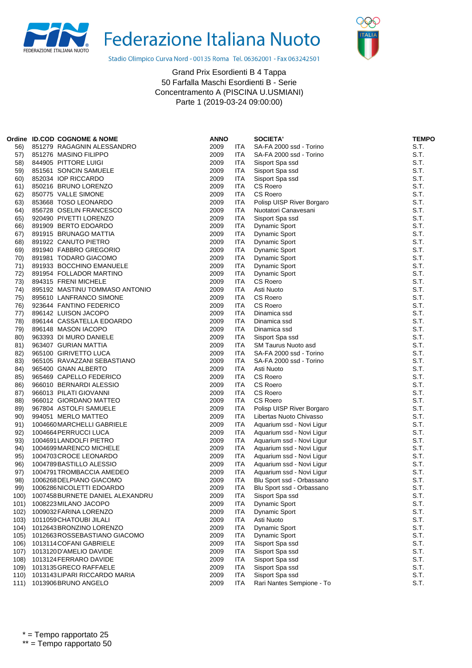



Stadio Olimpico Curva Nord - 00135 Roma Tel. 06362001 - Fax 063242501

|      | Ordine ID.COD COGNOME & NOME     | <b>ANNO</b> |            | <b>SOCIETA'</b>           | <b>TEMPO</b> |
|------|----------------------------------|-------------|------------|---------------------------|--------------|
| 56)  | 851279 RAGAGNIN ALESSANDRO       | 2009        | ITA        | SA-FA 2000 ssd - Torino   | S.T.         |
| 57)  | 851276 MASINO FILIPPO            | 2009        | ITA        | SA-FA 2000 ssd - Torino   | S.T.         |
| 58)  | 844905 PITTORE LUIGI             | 2009        | ITA        | Sisport Spa ssd           | S.T.         |
| 59)  | 851561 SONCIN SAMUELE            | 2009        | <b>ITA</b> | Sisport Spa ssd           | S.T.         |
| 60)  | 852034 IOP RICCARDO              | 2009        | ITA        | Sisport Spa ssd           | S.T.         |
| 61)  | 850216 BRUNO LORENZO             | 2009        | <b>ITA</b> | CS Roero                  | S.T.         |
| 62)  | 850775 VALLE SIMONE              | 2009        | <b>ITA</b> | CS Roero                  | S.T.         |
| 63)  | 853668 TOSO LEONARDO             | 2009        | <b>ITA</b> | Polisp UISP River Borgaro | S.T.         |
| 64)  | 856728 OSELIN FRANCESCO          | 2009        | ITA        | Nuotatori Canavesani      | S.T.         |
| 65)  | 920490 PIVETTI LORENZO           | 2009        | <b>ITA</b> | Sisport Spa ssd           | S.T.         |
| 66)  | 891909 BERTO EDOARDO             | 2009        | <b>ITA</b> | <b>Dynamic Sport</b>      | S.T.         |
| 67)  | 891915 BRUNAGO MATTIA            | 2009        | ITA        | <b>Dynamic Sport</b>      | S.T.         |
| 68)  | 891922 CANUTO PIETRO             | 2009        | <b>ITA</b> | <b>Dynamic Sport</b>      | S.T.         |
| 69)  | 891940 FABBRO GREGORIO           | 2009        | <b>ITA</b> | <b>Dynamic Sport</b>      | S.T.         |
| 70)  | 891981 TODARO GIACOMO            | 2009        | ITA        | <b>Dynamic Sport</b>      | S.T.         |
| 71)  | 891933 BOCCHINO EMANUELE         | 2009        | <b>ITA</b> | <b>Dynamic Sport</b>      | S.T.         |
| 72)  | 891954 FOLLADOR MARTINO          | 2009        | ITA        | <b>Dynamic Sport</b>      | S.T.         |
| 73)  | 894315 FRENI MICHELE             | 2009        | <b>ITA</b> | CS Roero                  | S.T.         |
| 74)  | 895192 MASTINU TOMMASO ANTONIO   | 2009        | ITA        | Asti Nuoto                | S.T.         |
| 75)  | 895610 LANFRANCO SIMONE          | 2009        | ITA        | CS Roero                  | S.T.         |
| 76)  | 923644 FANTINO FEDERICO          | 2009        | ITA        | CS Roero                  | S.T.         |
| 77)  | 896142 LUISON JACOPO             | 2009        | ITA        | Dinamica ssd              | S.T.         |
| 78)  | 896144 CASSATELLA EDOARDO        | 2009        | ITA        | Dinamica ssd              | S.T.         |
| 79)  | 896148 MASON IACOPO              | 2009        | ITA        | Dinamica ssd              | S.T.         |
| 80)  | 963393 DI MURO DANIELE           | 2009        | ITA        | Sisport Spa ssd           | S.T.         |
| 81)  | 963407 GURIAN MATTIA             | 2009        | ITA        | SM Taurus Nuoto asd       | S.T.         |
| 82)  | 965100 GIRIVETTO LUCA            | 2009        | ITA        | SA-FA 2000 ssd - Torino   | S.T.         |
| 83)  | 965105 RAVAZZANI SEBASTIANO      | 2009        | ITA        | SA-FA 2000 ssd - Torino   | S.T.         |
| 84)  | 965400 GNAN ALBERTO              | 2009        | <b>ITA</b> | Asti Nuoto                | S.T.         |
| 85)  | 965469 CAPELLO FEDERICO          | 2009        | ITA        | CS Roero                  | S.T.         |
| 86)  | 966010 BERNARDI ALESSIO          | 2009        | ITA        | <b>CS Roero</b>           | S.T.         |
| 87)  | 966013 PILATI GIOVANNI           | 2009        | ITA        | CS Roero                  | S.T.         |
| 88)  | 966012 GIORDANO MATTEO           | 2009        | ITA        | CS Roero                  | S.T.         |
| 89)  | 967804 ASTOLFI SAMUELE           | 2009        | ITA        | Polisp UISP River Borgaro | S.T.         |
| 90)  | 994051 MERLO MATTEO              | 2009        | ITA        | Libertas Nuoto Chivasso   | S.T.         |
| 91)  | 1004660 MARCHELLI GABRIELE       | 2009        | ITA        | Aquarium ssd - Novi Ligur | S.T.         |
| 92)  | 1004664 PERRUCCI LUCA            | 2009        | ITA        | Aquarium ssd - Novi Ligur | S.T.         |
| 93)  | 1004691 LANDOLFI PIETRO          | 2009        | <b>ITA</b> | Aquarium ssd - Novi Ligur | S.T.         |
| 94)  | 1004699 MARENCO MICHELE          | 2009        | ITA        | Aquarium ssd - Novi Ligur | S.T.         |
| 95)  | 1004703 CROCE LEONARDO           | 2009        | <b>ITA</b> | Aquarium ssd - Novi Ligur | S.T.         |
| 96)  | 1004789 BASTILLO ALESSIO         | 2009        | ITA        | Aquarium ssd - Novi Ligur | S.T.         |
| 97)  | 1004791 TROMBACCIA AMEDEO        | 2009        | ITA        | Aquarium ssd - Novi Ligur | S.T.         |
| 98)  | 1006268 DELPIANO GIACOMO         | 2009        | <b>ITA</b> | Blu Sport ssd - Orbassano | S.T.         |
| 99)  | 1006286 NICOLETTI EDOARDO        | 2009        | <b>ITA</b> | Blu Sport ssd - Orbassano | S.T.         |
| 100) | 1007458 BURNETE DANIEL ALEXANDRU | 2009        | <b>ITA</b> | Sisport Spa ssd           | S.T.         |
| 101) | 1008223 MILANO JACOPO            | 2009        | ITA        | Dynamic Sport             | S.T.         |
| 102) | 1009032 FARINA LORENZO           | 2009        | ITA        | Dynamic Sport             | S.T.         |
| 103) | 1011059 CHATOUBI JILALI          | 2009        | <b>ITA</b> | Asti Nuoto                | S.T.         |
| 104) | 1012643 BRONZINO LORENZO         | 2009        | <b>ITA</b> | Dynamic Sport             | S.T.         |
| 105) | 1012663ROSSEBASTIANO GIACOMO     | 2009        | <b>ITA</b> | <b>Dynamic Sport</b>      | S.T.         |
| 106) | 1013114 COFANI GABRIELE          | 2009        | <b>ITA</b> | Sisport Spa ssd           | S.T.         |
| 107) | 1013120 D'AMELIO DAVIDE          | 2009        | <b>ITA</b> | Sisport Spa ssd           | S.T.         |
| 108) | 1013124 FERRARO DAVIDE           | 2009        | ITA        | Sisport Spa ssd           | S.T.         |
| 109) | 1013135 GRECO RAFFAELE           | 2009        | <b>ITA</b> | Sisport Spa ssd           | S.T.         |
| 110) | 1013143 LIPARI RICCARDO MARIA    | 2009        | <b>ITA</b> | Sisport Spa ssd           | S.T.         |
| 111) | 1013906 BRUNO ANGELO             | 2009        | <b>ITA</b> | Rari Nantes Sempione - To | S.T.         |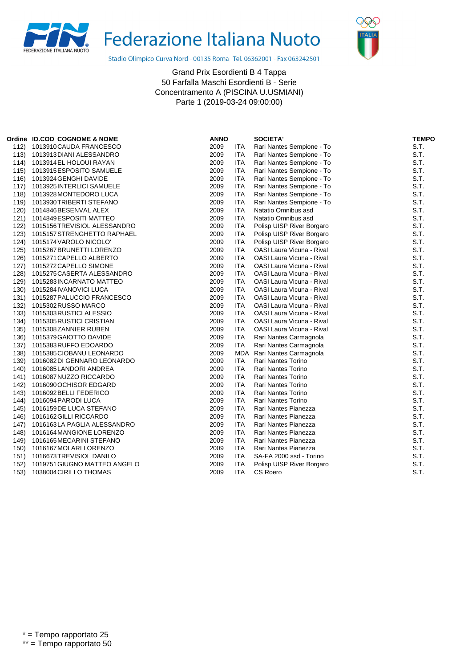



Stadio Olimpico Curva Nord - 00135 Roma Tel. 06362001 - Fax 063242501

|      | Ordine ID.COD COGNOME & NOME | <b>ANNO</b> |            | <b>SOCIETA'</b>                  | <b>TEMPO</b> |
|------|------------------------------|-------------|------------|----------------------------------|--------------|
| 112) | 1013910 CAUDA FRANCESCO      | 2009        | ITA        | Rari Nantes Sempione - To        | S.T.         |
| 113) | 1013913 DIANI ALESSANDRO     | 2009        | <b>ITA</b> | Rari Nantes Sempione - To        | S.T.         |
| 114) | 1013914 EL HOLOUI RAYAN      | 2009        | <b>ITA</b> | Rari Nantes Sempione - To        | S.T.         |
| 115) | 1013915 ESPOSITO SAMUELE     | 2009        | <b>ITA</b> | Rari Nantes Sempione - To        | S.T.         |
| 116) | 1013924 GENGHI DAVIDE        | 2009        | <b>ITA</b> | Rari Nantes Sempione - To        | S.T.         |
| 117) | 1013925 INTERLICI SAMUELE    | 2009        | <b>ITA</b> | Rari Nantes Sempione - To        | S.T.         |
| 118) | 1013928 MONTEDORO LUCA       | 2009        | <b>ITA</b> | Rari Nantes Sempione - To        | S.T.         |
| 119) | 1013930 TRIBERTI STEFANO     | 2009        | <b>ITA</b> | Rari Nantes Sempione - To        | S.T.         |
| 120) | 1014846BESENVAL ALEX         | 2009        | <b>ITA</b> | Natatio Omnibus asd              | S.T.         |
| 121) | 1014849 ESPOSITI MATTEO      | 2009        | <b>ITA</b> | Natatio Omnibus asd              | S.T.         |
| 122) | 1015156TREVISIOL ALESSANDRO  | 2009        | <b>ITA</b> | Polisp UISP River Borgaro        | S.T.         |
| 123) | 1015157 STRENGHETTO RAPHAEL  | 2009        | <b>ITA</b> | Polisp UISP River Borgaro        | S.T.         |
| 124) | 1015174 VAROLO NICOLO'       | 2009        | <b>ITA</b> | Polisp UISP River Borgaro        | S.T.         |
| 125) | 1015267 BRUNETTI LORENZO     | 2009        | <b>ITA</b> | <b>OASI Laura Vicuna - Rival</b> | S.T.         |
| 126) | 1015271 CAPELLO ALBERTO      | 2009        | <b>ITA</b> | OASI Laura Vicuna - Rival        | S.T.         |
| 127) | 1015272 CAPELLO SIMONE       | 2009        | ITA        | OASI Laura Vicuna - Rival        | S.T.         |
| 128) | 1015275 CASERTA ALESSANDRO   | 2009        | <b>ITA</b> | <b>OASI Laura Vicuna - Rival</b> | S.T.         |
| 129) | 1015283 INCARNATO MATTEO     | 2009        | <b>ITA</b> | OASI Laura Vicuna - Rival        | S.T.         |
| 130) | 1015284 IVANOVICI LUCA       | 2009        | <b>ITA</b> | OASI Laura Vicuna - Rival        | S.T.         |
| 131) | 1015287 PALUCCIO FRANCESCO   | 2009        | <b>ITA</b> | OASI Laura Vicuna - Rival        | S.T.         |
| 132) | 1015302 RUSSO MARCO          | 2009        | <b>ITA</b> | <b>OASI Laura Vicuna - Rival</b> | S.T.         |
| 133) | 1015303 RUSTICI ALESSIO      | 2009        | <b>ITA</b> | <b>OASI Laura Vicuna - Rival</b> | S.T.         |
| 134) | 1015305 RUSTICI CRISTIAN     | 2009        | <b>ITA</b> | OASI Laura Vicuna - Rival        | S.T.         |
| 135) | 1015308ZANNIER RUBEN         | 2009        | <b>ITA</b> | OASI Laura Vicuna - Rival        | S.T.         |
| 136) | 1015379 GAIOTTO DAVIDE       | 2009        | <b>ITA</b> | Rari Nantes Carmagnola           | S.T.         |
| 137) | 1015383 RUFFO EDOARDO        | 2009        | <b>ITA</b> | Rari Nantes Carmagnola           | S.T.         |
| 138) | 1015385 CIOBANU LEONARDO     | 2009        |            | MDA Rari Nantes Carmagnola       | S.T.         |
| 139) | 1016082 DI GENNARO LEONARDO  | 2009        | <b>ITA</b> | Rari Nantes Torino               | S.T.         |
| 140) | 1016085LANDORI ANDREA        | 2009        | <b>ITA</b> | <b>Rari Nantes Torino</b>        | S.T.         |
| 141) | 1016087 NUZZO RICCARDO       | 2009        | <b>ITA</b> | <b>Rari Nantes Torino</b>        | S.T.         |
| 142) | 1016090 OCHISOR EDGARD       | 2009        | <b>ITA</b> | Rari Nantes Torino               | S.T.         |
| 143) | 1016092 BELLI FEDERICO       | 2009        | <b>ITA</b> | Rari Nantes Torino               | S.T.         |
| 144) | 1016094 PARODI LUCA          | 2009        | <b>ITA</b> | Rari Nantes Torino               | S.T.         |
| 145) | 1016159 DE LUCA STEFANO      | 2009        | <b>ITA</b> | Rari Nantes Pianezza             | S.T.         |
| 146) | 1016162 GILLI RICCARDO       | 2009        | <b>ITA</b> | Rari Nantes Pianezza             | S.T.         |
| 147) | 1016163LA PAGLIA ALESSANDRO  | 2009        | <b>ITA</b> | Rari Nantes Pianezza             | S.T.         |
| 148) | 1016164 MANGIONE LORENZO     | 2009        | <b>ITA</b> | Rari Nantes Pianezza             | S.T.         |
| 149) | 1016165 MECARINI STEFANO     | 2009        | <b>ITA</b> | Rari Nantes Pianezza             | S.T.         |
| 150) | 1016167 MOLARI LORENZO       | 2009        | <b>ITA</b> | Rari Nantes Pianezza             | S.T.         |
| 151) | 1016673TREVISIOL DANILO      | 2009        | <b>ITA</b> | SA-FA 2000 ssd - Torino          | S.T.         |
| 152) | 1019751 GIUGNO MATTEO ANGELO | 2009        | ITA        | Polisp UISP River Borgaro        | S.T.         |
| 153) | 1038004 CIRILLO THOMAS       | 2009        | <b>ITA</b> | CS Roero                         | S.T.         |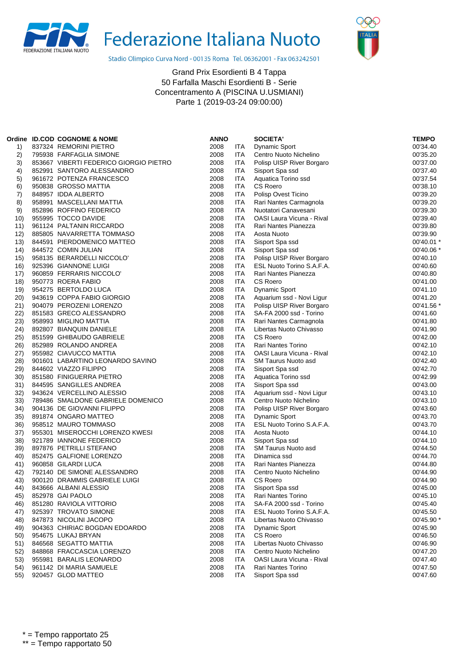



Stadio Olimpico Curva Nord - 00135 Roma Tel. 06362001 - Fax 063242501

|      | Ordine ID.COD COGNOME & NOME           | <b>ANNO</b> |            | <b>SOCIETA'</b>                  | <b>TEMPO</b> |
|------|----------------------------------------|-------------|------------|----------------------------------|--------------|
| 1)   | 837324 REMORINI PIETRO                 | 2008        | <b>ITA</b> | Dynamic Sport                    | 00'34.40     |
| 2)   | 795938 FARFAGLIA SIMONE                | 2008        | ITA        | Centro Nuoto Nichelino           | 00'35.20     |
| 3)   | 853667 VIBERTI FEDERICO GIORGIO PIETRO | 2008        | ITA        | Polisp UISP River Borgaro        | 00'37.00     |
| 4)   | 852991 SANTORO ALESSANDRO              | 2008        | ITA        | Sisport Spa ssd                  | 00'37.40     |
| 5)   | 961672 POTENZA FRANCESCO               | 2008        | ITA        | Aquatica Torino ssd              | 00'37.54     |
| 6)   | 950838 GROSSO MATTIA                   | 2008        | <b>ITA</b> | <b>CS Roero</b>                  | 00'38.10     |
| 7)   | 848957 IDDA ALBERTO                    | 2008        | ITA        | Polisp Ovest Ticino              | 00'39.20     |
| 8)   | 958991 MASCELLANI MATTIA               | 2008        | ITA        | Rari Nantes Carmagnola           | 00'39.20     |
| 9)   | 852896 ROFFINO FEDERICO                | 2008        | <b>ITA</b> | Nuotatori Canavesani             | 00'39.30     |
| 10)  | 955995 TOCCO DAVIDE                    | 2008        | ITA        | <b>OASI Laura Vicuna - Rival</b> | 00'39.40     |
| 11)  | 961124 PALTANIN RICCARDO               | 2008        | ITA        | Rari Nantes Pianezza             | 00'39.80     |
| 12)  | 885805 NAVARRETTA TOMMASO              | 2008        | <b>ITA</b> | Aosta Nuoto                      | 00'39.90     |
| 13)  | 844591 PIERDOMENICO MATTEO             | 2008        | ITA        | Sisport Spa ssd                  | 00'40.01 *   |
| 14)  | 844572 COMIN JULIAN                    | 2008        | ITA        | Sisport Spa ssd                  | 00'40.06 *   |
| 15)  | 958135 BERARDELLI NICCOLO'             | 2008        | <b>ITA</b> | Polisp UISP River Borgaro        | 00'40.10     |
| 16)  | 925396 GIANNONE LUIGI                  | 2008        | ITA        | ESL Nuoto Torino S.A.F.A.        | 00'40.60     |
| 17)  | 960859 FERRARIS NICCOLO'               | 2008        | ITA        | Rari Nantes Pianezza             | 00'40.80     |
| 18)  | 950773 ROERA FABIO                     | 2008        | <b>ITA</b> | CS Roero                         | 00'41.00     |
| 19)  | 954275 BERTOLDO LUCA                   | 2008        | ITA        | <b>Dynamic Sport</b>             | 00'41.10     |
| 20)  | 943619 COPPA FABIO GIORGIO             | 2008        | ITA        | Aquarium ssd - Novi Ligur        | 00'41.20     |
| 21)  | 904079 PEROZENI LORENZO                | 2008        | ITA        | Polisp UISP River Borgaro        | 00'41.56 *   |
| 22)  | 851583 GRECO ALESSANDRO                | 2008        | ITA        | SA-FA 2000 ssd - Torino          | 00'41.60     |
| 23)  | 958993 MIGLINO MATTIA                  | 2008        | ITA        | Rari Nantes Carmagnola           | 00'41.80     |
| 24)  | 892807 BIANQUIN DANIELE                | 2008        | ITA        | Libertas Nuoto Chivasso          | 00'41.90     |
| 25)  | 851599 GHIBAUDO GABRIELE               | 2008        | <b>ITA</b> | CS Roero                         | 00'42.00     |
| 26)  | 852989 ROLANDO ANDREA                  | 2008        | ITA        | Rari Nantes Torino               | 00'42.10     |
| (27) | 955982 CIAVUCCO MATTIA                 | 2008        | ITA        | <b>OASI Laura Vicuna - Rival</b> | 00'42.10     |
| 28)  | 901601 LABARTINO LEONARDO SAVINO       | 2008        | ITA        | <b>SM Taurus Nuoto asd</b>       | 00'42.40     |
| 29)  | 844602 VIAZZO FILIPPO                  | 2008        | ITA        | Sisport Spa ssd                  | 00'42.70     |
| 30)  | 851580 FINIGUERRA PIETRO               | 2008        | ITA        | Aquatica Torino ssd              | 00'42.99     |
| 31)  | 844595 SANGILLES ANDREA                | 2008        | ITA        | Sisport Spa ssd                  | 00'43.00     |
| 32)  | 943624 VERCELLINO ALESSIO              | 2008        | ITA        | Aquarium ssd - Novi Ligur        | 00'43.10     |
| 33)  | 789486 SMALDONE GABRIELE DOMENICO      | 2008        | ITA        | Centro Nuoto Nichelino           | 00'43.10     |
| 34)  | 904136 DE GIOVANNI FILIPPO             | 2008        | ITA        | Polisp UISP River Borgaro        | 00'43.60     |
| 35)  | 891874 ONGARO MATTEO                   | 2008        | ITA        | Dynamic Sport                    | 00'43.70     |
| 36)  | 958512 MAURO TOMMASO                   | 2008        | <b>ITA</b> | ESL Nuoto Torino S.A.F.A.        | 00'43.70     |
| 37)  | 955301 MISEROCCHI LORENZO KWESI        | 2008        | <b>ITA</b> | Aosta Nuoto                      | 00'44.10     |
| 38)  | 921789 IANNONE FEDERICO                | 2008        | ITA        | Sisport Spa ssd                  | 00'44.10     |
| 39)  | 897876 PETRILLI STEFANO                | 2008        | <b>ITA</b> | SM Taurus Nuoto asd              | 00'44.50     |
| 40)  | 852475 GALFIONE LORENZO                | 2008        | ITA        | Dinamica ssd                     | 00'44.70     |
| 41)  | 960858 GILARDI LUCA                    | 2008        | ITA        | Rari Nantes Pianezza             | 00'44.80     |
| 42)  | 792140 DE SIMONE ALESSANDRO            | 2008        | ITA        | Centro Nuoto Nichelino           | 00'44.90     |
| 43)  | 900120 DRAMMIS GABRIELE LUIGI          | 2008        | <b>ITA</b> | CS Roero                         | 00'44.90     |
| 44)  | 843666 ALBANI ALESSIO                  | 2008        | <b>ITA</b> | Sisport Spa ssd                  | 00'45.00     |
| 45)  | 852978 GAI PAOLO                       | 2008        | ITA        | Rari Nantes Torino               | 00'45.10     |
| 46)  | 851280 RAVIOLA VITTORIO                | 2008        | ITA        | SA-FA 2000 ssd - Torino          | 00'45.40     |
| 47)  | 925397 TROVATO SIMONE                  | 2008        | ITA        | ESL Nuoto Torino S.A.F.A.        | 00'45.50     |
| 48)  | 847873 NICOLINI JACOPO                 | 2008        | ITA        | Libertas Nuoto Chivasso          | 00'45.90 *   |
| 49)  | 904363 CHIRIAC BOGDAN EDOARDO          | 2008        | ITA        | Dynamic Sport                    | 00'45.90     |
| 50)  | 954675 LUKAJ BRYAN                     | 2008        | <b>ITA</b> | <b>CS Roero</b>                  | 00'46.50     |
| 51)  | 846568 SEGATTO MATTIA                  | 2008        | ITA        | Libertas Nuoto Chivasso          | 00'46.90     |
| 52)  | 848868 FRACCASCIA LORENZO              | 2008        | ITA        | Centro Nuoto Nichelino           | 00'47.20     |
| 53)  | 955981 BARALIS LEONARDO                | 2008        | <b>ITA</b> | <b>OASI Laura Vicuna - Rival</b> | 00'47.40     |
| 54)  | 961142 DI MARIA SAMUELE                | 2008        | ITA        | <b>Rari Nantes Torino</b>        | 00'47.50     |
| 55)  | 920457 GLOD MATTEO                     | 2008        | <b>ITA</b> | Sisport Spa ssd                  | 00'47.60     |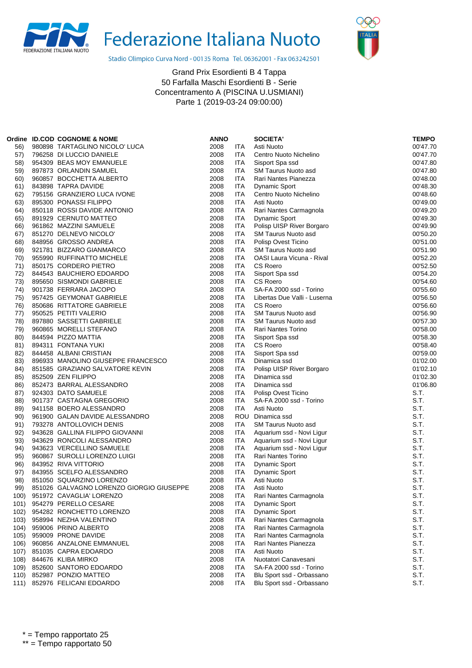



Stadio Olimpico Curva Nord - 00135 Roma Tel. 06362001 - Fax 063242501

|      | Ordine ID.COD COGNOME & NOME             | <b>ANNO</b>  |                          | <b>SOCIETA'</b>                                 | <b>TEMPO</b> |
|------|------------------------------------------|--------------|--------------------------|-------------------------------------------------|--------------|
| 56)  | 980898 TARTAGLINO NICOLO' LUCA           | 2008         | <b>ITA</b>               | Asti Nuoto                                      | 00'47.70     |
| 57)  | 796258 DI LUCCIO DANIELE                 | 2008         | ITA                      | Centro Nuoto Nichelino                          | 00'47.70     |
| 58)  | 954309 BEAS MOY EMANUELE                 | 2008         | <b>ITA</b>               | Sisport Spa ssd                                 | 00'47.80     |
| 59)  | 897873 ORLANDIN SAMUEL                   | 2008         | <b>ITA</b>               | <b>SM Taurus Nuoto asd</b>                      | 00'47.80     |
| 60)  | 960857 BOCCHETTA ALBERTO                 | 2008         | ITA                      | Rari Nantes Pianezza                            | 00'48.00     |
|      |                                          | 2008         |                          |                                                 |              |
| 61)  | 843898 TAPRA DAVIDE                      |              | <b>ITA</b>               | Dynamic Sport                                   | 00'48.30     |
| 62)  | 795156 GRANZIERO LUCA IVONE              | 2008         | <b>ITA</b>               | Centro Nuoto Nichelino                          | 00'48.60     |
| 63)  | 895300 PONASSI FILIPPO                   | 2008         | ITA                      | Asti Nuoto                                      | 00'49.00     |
| 64)  | 850118 ROSSI DAVIDE ANTONIO              | 2008         | <b>ITA</b>               | Rari Nantes Carmagnola                          | 00'49.20     |
| 65)  | 891929 CERNUTO MATTEO                    | 2008         | <b>ITA</b>               | <b>Dynamic Sport</b>                            | 00'49.30     |
| 66)  | 961862 MAZZINI SAMUELE                   | 2008         | <b>ITA</b>               | Polisp UISP River Borgaro                       | 00'49.90     |
| 67)  | 851270 DELNEVO NICOLO'                   | 2008         | <b>ITA</b>               | SM Taurus Nuoto asd                             | 00'50.20     |
| 68)  | 848956 GROSSO ANDREA                     | 2008         | <b>ITA</b>               | Polisp Ovest Ticino                             | 00'51.00     |
| 69)  | 921781 BIZZARO GIANMARCO                 | 2008         | ITA                      | SM Taurus Nuoto asd                             | 00'51.90     |
| 70)  | 955990 RUFFINATTO MICHELE                | 2008         | <b>ITA</b>               | OASI Laura Vicuna - Rival                       | 00'52.20     |
| 71)  | 850175 CORDERO PIETRO                    | 2008         | <b>ITA</b>               | <b>CS Roero</b>                                 | 00'52.50     |
| 72)  | 844543 BAUCHIERO EDOARDO                 | 2008         | <b>ITA</b>               | Sisport Spa ssd                                 | 00'54.20     |
| 73)  | 895650 SISMONDI GABRIELE                 | 2008         | <b>ITA</b>               | <b>CS Roero</b>                                 | 00'54.60     |
| 74)  | 901738 FERRARA JACOPO                    | 2008         | <b>ITA</b>               | SA-FA 2000 ssd - Torino                         | 00'55.60     |
| 75)  | 957425 GEYMONAT GABRIELE                 | 2008         | ITA                      | Libertas Due Valli - Luserna                    | 00'56.50     |
| 76)  | 850686 RITTATORE GABRIELE                | 2008         | <b>ITA</b>               | CS Roero                                        | 00'56.60     |
| 77)  | 950525 PETITI VALERIO                    | 2008         | <b>ITA</b>               | <b>SM Taurus Nuoto asd</b>                      | 00'56.90     |
| 78)  | 897880 SASSETTI GABRIELE                 | 2008         | <b>ITA</b>               | SM Taurus Nuoto asd                             | 00'57.30     |
| 79)  | 960865 MORELLI STEFANO                   | 2008         | <b>ITA</b>               | Rari Nantes Torino                              | 00'58.00     |
| 80)  | 844594 PIZZO MATTIA                      | 2008         | <b>ITA</b>               | Sisport Spa ssd                                 | 00'58.30     |
| 81)  | 894311 FONTANA YUKI                      | 2008         | <b>ITA</b>               | CS Roero                                        | 00'58.40     |
| 82)  | 844458 ALBANI CRISTIAN                   | 2008         | <b>ITA</b>               | Sisport Spa ssd                                 | 00'59.00     |
| 83)  | 896933 MANOLINO GIUSEPPE FRANCESCO       | 2008         | <b>ITA</b>               | Dinamica ssd                                    | 01'02.00     |
| 84)  | 851585 GRAZIANO SALVATORE KEVIN          | 2008         | ITA                      | Polisp UISP River Borgaro                       | 01'02.10     |
| 85)  | 852509 ZEN FILIPPO                       | 2008         | <b>ITA</b>               | Dinamica ssd                                    | 01'02.30     |
| 86)  | 852473 BARRAL ALESSANDRO                 | 2008         | <b>ITA</b>               | Dinamica ssd                                    | 01'06.80     |
| 87)  | 924303 DATO SAMUELE                      | 2008         | ITA                      | Polisp Ovest Ticino                             | S.T.         |
| 88)  | 901737 CASTAGNA GREGORIO                 | 2008         | <b>ITA</b>               | SA-FA 2000 ssd - Torino                         | S.T.         |
| 89)  | 941158 BOERO ALESSANDRO                  | 2008         | <b>ITA</b>               | Asti Nuoto                                      | S.T.         |
| 90)  | 961900 GALAN DAVIDE ALESSANDRO           | 2008         |                          | ROU Dinamica ssd                                | S.T.         |
| 91)  | 793278 ANTOLLOVICH DENIS                 | 2008         | <b>ITA</b>               | SM Taurus Nuoto asd                             | S.T.         |
| 92)  | 943628 GALLINA FILIPPO GIOVANNI          | 2008         | <b>ITA</b>               | Aquarium ssd - Novi Ligur                       | S.T.         |
| 93)  | 943629 RONCOLI ALESSANDRO                | 2008         | ITA                      | Aquarium ssd - Novi Ligur                       | S.T.         |
| 94)  | 943623 VERCELLINO SAMUELE                | 2008         | <b>ITA</b>               | Aquarium ssd - Novi Ligur                       | S.T.         |
| 95)  | 960867 SUROLLI LORENZO LUIGI             | 2008         | <b>ITA</b>               | Rari Nantes Torino                              | S.T.         |
| 96)  | 843952 RIVA VITTORIO                     | 2008         | ITA                      | <b>Dynamic Sport</b>                            | S.T.         |
| 97)  | 843955 SCELFO ALESSANDRO                 | 2008         | <b>ITA</b>               | <b>Dynamic Sport</b>                            | S.T.         |
| 98)  | 851050 SQUARZINO LORENZO                 | 2008         | <b>ITA</b>               | Asti Nuoto                                      | S.T.         |
| 99)  | 851026 GALVAGNO LORENZO GIORGIO GIUSEPPE | 2008         | <b>ITA</b>               | Asti Nuoto                                      | S.T.         |
| 100) | 951972 CAVAGLIA' LORENZO                 | 2008         | <b>ITA</b>               | Rari Nantes Carmagnola                          | S.T.         |
| 101) | 954279 PERELLO CESARE                    | 2008         | <b>ITA</b>               | <b>Dynamic Sport</b>                            | S.T.         |
| 102) | 954282 RONCHETTO LORENZO                 | 2008         | ITA                      | <b>Dynamic Sport</b>                            | S.T.         |
| 103) | 958994 NEZHA VALENTINO                   | 2008         | <b>ITA</b>               | Rari Nantes Carmagnola                          | S.T.         |
| 104) | 959006 PRINO ALBERTO                     | 2008         | <b>ITA</b>               | Rari Nantes Carmagnola                          | S.T.         |
| 105) | 959009 PRONE DAVIDE                      | 2008         | <b>ITA</b>               | Rari Nantes Carmagnola                          | S.T.         |
| 106) | 960856 ANZALONE EMMANUEL                 | 2008         | <b>ITA</b>               | Rari Nantes Pianezza                            | S.T.         |
|      | 851035 CAPRA EDOARDO                     | 2008         | <b>ITA</b>               | Asti Nuoto                                      | S.T.         |
| 107) | 844676 KLIBA MIRKO                       |              |                          |                                                 |              |
| 108) | 852600 SANTORO EDOARDO                   | 2008<br>2008 | <b>ITA</b><br><b>ITA</b> | Nuotatori Canavesani<br>SA-FA 2000 ssd - Torino | S.T.<br>S.T. |
| 109) | 852987 PONZIO MATTEO                     | 2008         | <b>ITA</b>               |                                                 | S.T.         |
| 110) |                                          |              |                          | Blu Sport ssd - Orbassano                       |              |
|      | 111) 852976 FELICANI EDOARDO             | 2008         | <b>ITA</b>               | Blu Sport ssd - Orbassano                       | S.T.         |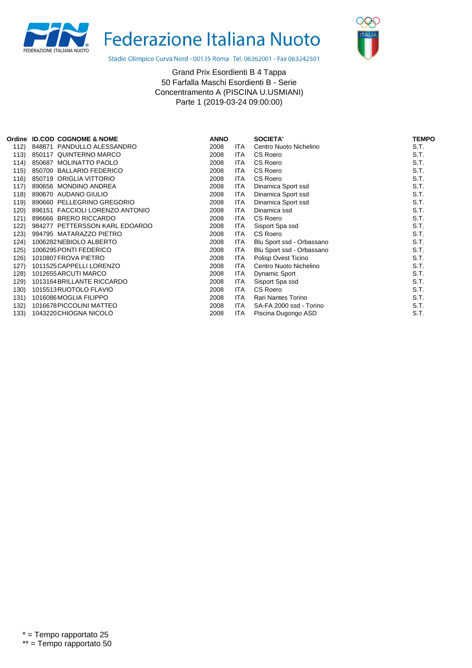



Stadio Olimpico Curva Nord - 00135 Roma Tel. 06362001 - Fax 063242501

|      | Ordine ID.COD COGNOME & NOME     | <b>ANNO</b> |            | <b>SOCIETA'</b>           | <b>TEMPO</b> |
|------|----------------------------------|-------------|------------|---------------------------|--------------|
| 112) | 848871 PANDULLO ALESSANDRO       | 2008        | <b>ITA</b> | Centro Nuoto Nichelino    | S.T.         |
| 113) | <b>QUINTERNO MARCO</b><br>850117 | 2008        | ITA        | CS Roero                  | S.T.         |
| 114) | 850687 MOLINATTO PAOLO           | 2008        | <b>ITA</b> | CS Roero                  | S.T.         |
| 115) | 850700 BALLARIO FEDERICO         | 2008        | ITA        | CS Roero                  | S.T.         |
| 116) | 850719 ORIGLIA VITTORIO          | 2008        | ITA        | CS Roero                  | S.T.         |
| 117) | 890656 MONDINO ANDREA            | 2008        | ITA        | Dinamica Sport ssd        | S.T.         |
| 118) | 890670 AUDANO GIULIO             | 2008        | ITA        | Dinamica Sport ssd        | S.T.         |
| 119) | 890660 PELLEGRINO GREGORIO       | 2008        | ITA        | Dinamica Sport ssd        | S.T.         |
| 120) | 896151 FACCIOLI LORENZO ANTONIO  | 2008        | ITA        | Dinamica ssd              | S.T.         |
| 121) | 896666 BRERO RICCARDO            | 2008        | ITA        | CS Roero                  | S.T.         |
| 122) | 984277 PETTERSSON KARL EDOARDO   | 2008        | ITA        | Sisport Spa ssd           | S.T.         |
| 123) | 994795 MATARAZZO PIETRO          | 2008        | ITA        | CS Roero                  | S.T.         |
| 124) | 1006282 NEBIOLO ALBERTO          | 2008        | ITA        | Blu Sport ssd - Orbassano | S.T.         |
| 125) | 1006295 PONTI FEDERICO           | 2008        | ITA        | Blu Sport ssd - Orbassano | S.T.         |
| 126) | 1010807 FROVA PIETRO             | 2008        | ITA        | Polisp Ovest Ticino       | S.T.         |
| 127) | 1011525 CAPPELLI LORENZO         | 2008        | ITA        | Centro Nuoto Nichelino    | S.T.         |
| 128) | 1012655 ARCUTI MARCO             | 2008        | ITA        | Dynamic Sport             | S.T.         |
| 129) | 1013164 BRILLANTE RICCARDO       | 2008        | ITA.       | Sisport Spa ssd           | S.T.         |
| 130) | 1015513 RUOTOLO FLAVIO           | 2008        | <b>ITA</b> | CS Roero                  | S.T.         |
| 131) | 1016086 MOGLIA FILIPPO           | 2008        | ITA        | Rari Nantes Torino        | S.T.         |
| 132) | 1016678 PICCOLINI MATTEO         | 2008        | ITA        | SA-FA 2000 ssd - Torino   | S.T.         |
| 133) | 1043220 CHIOGNA NICOLO           | 2008        | ITA        | Piscina Dugongo ASD       | S.T.         |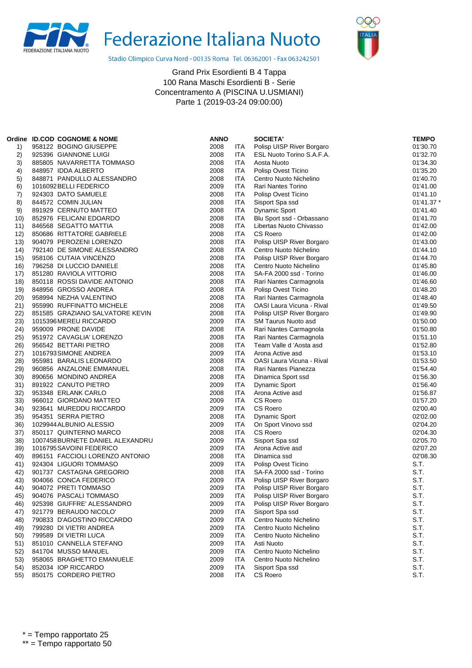



Stadio Olimpico Curva Nord - 00135 Roma Tel. 06362001 - Fax 063242501

|     | Ordine ID.COD COGNOME & NOME     | <b>ANNO</b> |            | <b>SOCIETA'</b>           | <b>TEMPO</b> |
|-----|----------------------------------|-------------|------------|---------------------------|--------------|
| 1)  | 958122 BOGINO GIUSEPPE           | 2008        | ITA        | Polisp UISP River Borgaro | 01'30.70     |
| 2)  | 925396 GIANNONE LUIGI            | 2008        | ITA        | ESL Nuoto Torino S.A.F.A. | 01'32.70     |
| 3)  | 885805 NAVARRETTA TOMMASO        | 2008        | ITA        | Aosta Nuoto               | 01'34.30     |
| 4)  | 848957 IDDA ALBERTO              | 2008        | ITA        | Polisp Ovest Ticino       | 01'35.20     |
| 5)  | 848871 PANDULLO ALESSANDRO       | 2008        | ITA        | Centro Nuoto Nichelino    | 01'40.70     |
| 6)  | 1016092 BELLI FEDERICO           | 2009        | <b>ITA</b> | Rari Nantes Torino        | 01'41.00     |
| 7)  | 924303 DATO SAMUELE              | 2008        | ITA        | Polisp Ovest Ticino       | 01'41.10     |
| 8)  | 844572 COMIN JULIAN              | 2008        | <b>ITA</b> | Sisport Spa ssd           | 01'41.37'    |
| 9)  | 891929 CERNUTO MATTEO            | 2008        | <b>ITA</b> | Dynamic Sport             | 01'41.40     |
| 10) | 852976 FELICANI EDOARDO          | 2008        | ITA        | Blu Sport ssd - Orbassano | 01'41.70     |
| 11) | 846568 SEGATTO MATTIA            | 2008        | ITA        | Libertas Nuoto Chivasso   | 01'42.00     |
| 12) | 850686 RITTATORE GABRIELE        | 2008        | <b>ITA</b> | CS Roero                  | 01'42.00     |
| 13) | 904079 PEROZENI LORENZO          | 2008        | <b>ITA</b> | Polisp UISP River Borgaro | 01'43.00     |
| 14) | 792140 DE SIMONE ALESSANDRO      | 2008        | ITA        | Centro Nuoto Nichelino    | 01'44.10     |
| 15) | 958106 CUTAIA VINCENZO           | 2008        | ITA        | Polisp UISP River Borgaro | 01'44.70     |
| 16) | 796258 DI LUCCIO DANIELE         | 2008        | ITA        | Centro Nuoto Nichelino    | 01'45.80     |
| 17) | 851280 RAVIOLA VITTORIO          | 2008        | <b>ITA</b> | SA-FA 2000 ssd - Torino   | 01'46.00     |
| 18) | 850118 ROSSI DAVIDE ANTONIO      | 2008        | ITA        | Rari Nantes Carmagnola    | 01'46.60     |
| 19) | 848956 GROSSO ANDREA             | 2008        | ITA        | Polisp Ovest Ticino       | 01'48.20     |
| 20) | 958994 NEZHA VALENTINO           | 2008        | <b>ITA</b> | Rari Nantes Carmagnola    | 01'48.40     |
| 21) | 955990 RUFFINATTO MICHELE        | 2008        | ITA        | OASI Laura Vicuna - Rival | 01'49.50     |
| 22) | 851585 GRAZIANO SALVATORE KEVIN  | 2008        | ITA        | Polisp UISP River Borgaro | 01'49.90     |
| 23) | 1015396 MEREU RICCARDO           | 2009        | ITA        | SM Taurus Nuoto asd       | 01'50.00     |
| 24) | 959009 PRONE DAVIDE              | 2008        | <b>ITA</b> | Rari Nantes Carmagnola    | 01'50.80     |
| 25) | 951972 CAVAGLIA' LORENZO         | 2008        | ITA        | Rari Nantes Carmagnola    | 01'51.10     |
| 26) | 956542 BETTARI PIETRO            | 2008        | <b>ITA</b> | Team Valle d'Aosta asd    | 01'52.80     |
| 27) | 1016793 SIMONE ANDREA            | 2009        | ITA        | Arona Active asd          | 01'53.10     |
| 28) | 955981 BARALIS LEONARDO          | 2008        | ITA        | OASI Laura Vicuna - Rival | 01'53.50     |
| 29) | 960856 ANZALONE EMMANUEL         | 2008        | <b>ITA</b> | Rari Nantes Pianezza      | 01'54.40     |
| 30) | 890656 MONDINO ANDREA            | 2008        | <b>ITA</b> | Dinamica Sport ssd        | 01'56.30     |
| 31) | 891922 CANUTO PIETRO             | 2009        | ITA        | <b>Dynamic Sport</b>      | 01'56.40     |
| 32) | 953348 ERLANK CARLO              | 2008        | <b>ITA</b> | Arona Active asd          | 01'56.87     |
| 33) | 966012 GIORDANO MATTEO           | 2009        | ITA        | CS Roero                  | 01'57.20     |
| 34) | 923641 MUREDDU RICCARDO          | 2009        | ITA        | <b>CS Roero</b>           | 02'00.40     |
| 35) | 954351 SERRA PIETRO              | 2008        | <b>ITA</b> | <b>Dynamic Sport</b>      | 02'02.00     |
| 36) | 1029944 ALBUNIO ALESSIO          | 2009        | ITA        | On Sport Vinovo ssd       | 02'04.20     |
| 37) | 850117 QUINTERNO MARCO           | 2008        | ITA        | CS Roero                  | 02'04.30     |
| 38) | 1007458 BURNETE DANIEL ALEXANDRU | 2009        | <b>ITA</b> | Sisport Spa ssd           | 02'05.70     |
| 39) | 1016795 SAVOINI FEDERICO         | 2009        | ITA        | Arona Active asd          | 02'07.20     |
| 40) | 896151 FACCIOLI LORENZO ANTONIO  | 2008        | ITA        | Dinamica ssd              | 02'08.30     |
| 41) | 924304 LIGUORI TOMMASO           | 2009        | <b>ITA</b> | Polisp Ovest Ticino       | S.T.         |
| 42) | 901737 CASTAGNA GREGORIO         | 2008        | <b>ITA</b> | SA-FA 2000 ssd - Torino   | S.T.         |
| 43) | 904066 CONCA FEDERICO            | 2009        | <b>ITA</b> | Polisp UISP River Borgaro | S.T.         |
| 44) | 904072 PRETI TOMMASO             | 2009        | <b>ITA</b> | Polisp UISP River Borgaro | S.T.         |
| 45) | 904076 PASCALI TOMMASO           | 2009        | ITA        | Polisp UISP River Borgaro | S.T.         |
| 46) | 925398 GIUFFRE' ALESSANDRO       | 2009        | ITA        | Polisp UISP River Borgaro | S.T.         |
| 47) | 921779 BERAUDO NICOLO'           | 2009        | <b>ITA</b> | Sisport Spa ssd           | S.T.         |
| 48) | 790833 D'AGOSTINO RICCARDO       | 2009        | <b>ITA</b> | Centro Nuoto Nichelino    | S.T.         |
| 49) | 799280 DI VIETRI ANDREA          | 2009        | ITA        | Centro Nuoto Nichelino    | S.T.         |
| 50) | 799589 DI VIETRI LUCA            | 2009        | <b>ITA</b> | Centro Nuoto Nichelino    | S.T.         |
| 51) | 851010 CANNELLA STEFANO          | 2009        | <b>ITA</b> | Asti Nuoto                | S.T.         |
| 52) | 841704 MUSSO MANUEL              | 2009        | ITA        | Centro Nuoto Nichelino    | S.T.         |
| 53) | 958065 BRAGHETTO EMANUELE        | 2009        | ITA        | Centro Nuoto Nichelino    | S.T.         |
| 54) | 852034 IOP RICCARDO              | 2009        | <b>ITA</b> | Sisport Spa ssd           | S.T.         |
| 55) | 850175 CORDERO PIETRO            | 2008        | ITA        | CS Roero                  | S.T.         |
|     |                                  |             |            |                           |              |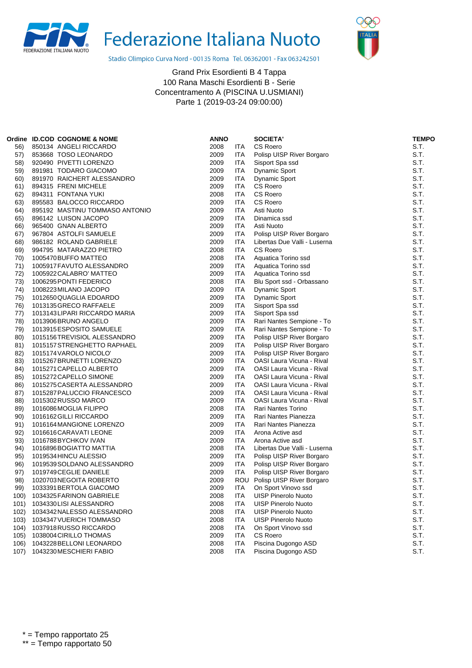



Stadio Olimpico Curva Nord - 00135 Roma Tel. 06362001 - Fax 063242501

|      | Ordine ID.COD COGNOME & NOME   | ANNO |            | <b>SOCIETA'</b>                  | <b>TEMPO</b> |
|------|--------------------------------|------|------------|----------------------------------|--------------|
| 56)  | 850134 ANGELI RICCARDO         | 2008 | ITA        | <b>CS Roero</b>                  | S.T.         |
| 57)  | 853668 TOSO LEONARDO           | 2009 | ITA        | Polisp UISP River Borgaro        | S.T.         |
| 58)  | 920490 PIVETTI LORENZO         | 2009 | ITA.       | Sisport Spa ssd                  | S.T.         |
| 59)  | 891981 TODARO GIACOMO          | 2009 | ITA.       | Dynamic Sport                    | S.T.         |
| 60)  | 891970 RAICHERT ALESSANDRO     | 2009 | ITA.       | Dynamic Sport                    | S.T.         |
| 61)  | 894315 FRENI MICHELE           | 2009 | ITA        | CS Roero                         | S.T.         |
| 62)  | 894311 FONTANA YUKI            | 2008 | ITA        | <b>CS Roero</b>                  | S.T.         |
| 63)  | 895583 BALOCCO RICCARDO        | 2009 | ITA        | <b>CS Roero</b>                  | S.T.         |
| 64)  | 895192 MASTINU TOMMASO ANTONIO | 2009 | ITA        | Asti Nuoto                       | S.T.         |
| 65)  | 896142 LUISON JACOPO           | 2009 | ITA        | Dinamica ssd                     | S.T.         |
| 66)  | 965400 GNAN ALBERTO            | 2009 | ITA.       | Asti Nuoto                       | S.T.         |
| 67)  | 967804 ASTOLFI SAMUELE         | 2009 | ITA        | Polisp UISP River Borgaro        | S.T.         |
| 68)  | 986182 ROLAND GABRIELE         | 2009 | ITA        | Libertas Due Valli - Luserna     | S.T.         |
| 69)  | 994795 MATARAZZO PIETRO        | 2008 | ITA.       | CS Roero                         | S.T.         |
| 70)  | 1005470 BUFFO MATTEO           | 2008 | ITA        | Aquatica Torino ssd              | S.T.         |
| 71)  | 1005917 FAVUTO ALESSANDRO      | 2009 | ITA        | Aquatica Torino ssd              | S.T.         |
| 72)  | 1005922 CALABRO' MATTEO        | 2009 | ITA        | Aquatica Torino ssd              | S.T.         |
| 73)  | 1006295 PONTI FEDERICO         | 2008 | ITA        | Blu Sport ssd - Orbassano        | S.T.         |
| 74)  | 1008223 MILANO JACOPO          | 2009 | ITA.       | Dynamic Sport                    | S.T.         |
| 75)  | 1012650 QUAGLIA EDOARDO        | 2009 | ITA        | <b>Dynamic Sport</b>             | S.T.         |
| 76)  | 1013135 GRECO RAFFAELE         | 2009 | ITA        | Sisport Spa ssd                  | S.T.         |
| 77)  | 1013143 LIPARI RICCARDO MARIA  | 2009 | ITA        | Sisport Spa ssd                  | S.T.         |
| 78)  | 1013906 BRUNO ANGELO           | 2009 | ITA.       | Rari Nantes Sempione - To        | S.T.         |
| 79)  | 1013915 ESPOSITO SAMUELE       | 2009 | <b>ITA</b> | Rari Nantes Sempione - To        | S.T.         |
| 80)  | 1015156TREVISIOL ALESSANDRO    | 2009 | ITA.       | Polisp UISP River Borgaro        | S.T.         |
| 81)  | 1015157 STRENGHETTO RAPHAEL    | 2009 | ITA        | Polisp UISP River Borgaro        | S.T.         |
| 82)  | 1015174 VAROLO NICOLO'         | 2009 | ITA        | Polisp UISP River Borgaro        | S.T.         |
| 83)  | 1015267 BRUNETTI LORENZO       | 2009 | ITA        | <b>OASI Laura Vicuna - Rival</b> | S.T.         |
| 84)  | 1015271 CAPELLO ALBERTO        | 2009 | ITA.       | OASI Laura Vicuna - Rival        | S.T.         |
| 85)  | 1015272 CAPELLO SIMONE         | 2009 | ITA        | OASI Laura Vicuna - Rival        | S.T.         |
| 86)  | 1015275 CASERTA ALESSANDRO     | 2009 | <b>ITA</b> | OASI Laura Vicuna - Rival        | S.T.         |
| 87)  | 1015287 PALUCCIO FRANCESCO     | 2009 | ITA.       | OASI Laura Vicuna - Rival        | S.T.         |
| 88)  | 1015302 RUSSO MARCO            | 2009 | ITA        | OASI Laura Vicuna - Rival        | S.T.         |
| 89)  | 1016086 MOGLIA FILIPPO         | 2008 | <b>ITA</b> | Rari Nantes Torino               | S.T.         |
| 90)  | 1016162 GILLI RICCARDO         | 2009 | ITA.       | Rari Nantes Pianezza             | S.T.         |
| 91)  | 1016164 MANGIONE LORENZO       | 2009 | ITA        | Rari Nantes Pianezza             | S.T.         |
| 92)  | 1016616 CARAVATI LEONE         | 2009 | <b>ITA</b> | Arona Active asd                 | S.T.         |
| 93)  | 1016788BYCHKOV IVAN            | 2009 | ITA.       | Arona Active asd                 | S.T.         |
| 94)  | 1016896 BOGIATTO MATTIA        | 2008 | ITA.       | Libertas Due Valli - Luserna     | S.T.         |
| 95)  | 1019534 HINCU ALESSIO          | 2009 | ITA.       | Polisp UISP River Borgaro        | S.T.         |
| 96)  | 1019539 SOLDANO ALESSANDRO     | 2009 | <b>ITA</b> | Polisp UISP River Borgaro        | S.T.         |
| 97)  | 1019749 CEGLIE DANIELE         | 2009 | ITA        | Polisp UISP River Borgaro        | S.T.         |
| 98)  | 1020703NEGOITA ROBERTO         | 2009 |            | ROU Polisp UISP River Borgaro    | S.T.         |
| 99)  | 1033391 BERTOLA GIACOMO        | 2009 | ITA        | On Sport Vinovo ssd              | S.T.         |
| 100) | 1034325 FARINON GABRIELE       | 2008 | <b>ITA</b> | <b>UISP Pinerolo Nuoto</b>       | S.T.         |
| 101) | 1034330 LISI ALESSANDRO        | 2008 | ITA        | <b>UISP Pinerolo Nuoto</b>       | S.T.         |
| 102) | 1034342 NALESSO ALESSANDRO     | 2008 | ITA        | UISP Pinerolo Nuoto              | S.T.         |
| 103) | 1034347 VUERICH TOMMASO        | 2008 | ITA        | <b>UISP Pinerolo Nuoto</b>       | S.T.         |
| 104) | 1037918 RUSSO RICCARDO         | 2008 | ITA        | On Sport Vinovo ssd              | S.T.         |
| 105) | 1038004 CIRILLO THOMAS         | 2009 | ITA        | CS Roero                         | S.T.         |
| 106) | 1043228 BELLONI LEONARDO       | 2008 | ITA        | Piscina Dugongo ASD              | S.T.         |
| 107) | 1043230 MESCHIERI FABIO        | 2008 | ITA        | Piscina Dugongo ASD              | S.T.         |
|      |                                |      |            |                                  |              |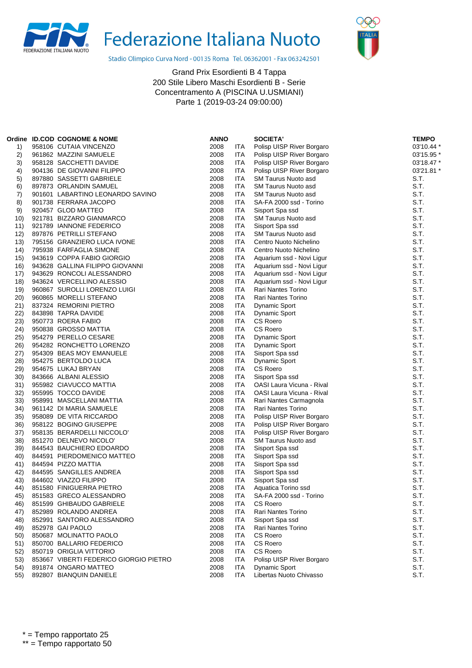



Stadio Olimpico Curva Nord - 00135 Roma Tel. 06362001 - Fax 063242501

|      | Ordine ID.COD COGNOME & NOME           | <b>ANNO</b> |            | <b>SOCIETA'</b>                  | <b>TEMPO</b> |
|------|----------------------------------------|-------------|------------|----------------------------------|--------------|
| 1)   | 958106 CUTAIA VINCENZO                 | 2008        | ITA        | Polisp UISP River Borgaro        | 03'10.44 *   |
| 2)   | 961862 MAZZINI SAMUELE                 | 2008        | <b>ITA</b> | Polisp UISP River Borgaro        | 03'15.95 *   |
| 3)   | 958128 SACCHETTI DAVIDE                | 2008        | ITA        | Polisp UISP River Borgaro        | 03'18.47 *   |
| 4)   | 904136 DE GIOVANNI FILIPPO             | 2008        | ITA        | Polisp UISP River Borgaro        | 03'21.81 *   |
| 5)   | 897880 SASSETTI GABRIELE               | 2008        | ITA        | <b>SM Taurus Nuoto asd</b>       | S.T.         |
| 6)   | 897873 ORLANDIN SAMUEL                 | 2008        | <b>ITA</b> | <b>SM Taurus Nuoto asd</b>       | S.T.         |
| 7)   | 901601 LABARTINO LEONARDO SAVINO       | 2008        | ITA        | <b>SM Taurus Nuoto asd</b>       | S.T.         |
| 8)   | 901738 FERRARA JACOPO                  | 2008        | ITA        | SA-FA 2000 ssd - Torino          | S.T.         |
| 9)   | 920457 GLOD MATTEO                     | 2008        | ITA        | Sisport Spa ssd                  | S.T.         |
| 10)  | 921781 BIZZARO GIANMARCO               | 2008        | ITA        | <b>SM Taurus Nuoto asd</b>       | S.T.         |
| 11)  | 921789 IANNONE FEDERICO                | 2008        | ITA        | Sisport Spa ssd                  | S.T.         |
| 12)  | 897876 PETRILLI STEFANO                | 2008        | ITA        | SM Taurus Nuoto asd              | S.T.         |
| 13)  | 795156 GRANZIERO LUCA IVONE            | 2008        | ITA        | Centro Nuoto Nichelino           | S.T.         |
| 14)  | 795938 FARFAGLIA SIMONE                | 2008        | ITA        | Centro Nuoto Nichelino           | S.T.         |
| 15)  | 943619 COPPA FABIO GIORGIO             | 2008        | ITA        | Aquarium ssd - Novi Ligur        | S.T.         |
| 16)  | 943628 GALLINA FILIPPO GIOVANNI        | 2008        | ITA        | Aquarium ssd - Novi Ligur        | S.T.         |
| 17)  | 943629 RONCOLI ALESSANDRO              | 2008        | ITA        | Aquarium ssd - Novi Ligur        | S.T.         |
| 18)  | 943624 VERCELLINO ALESSIO              | 2008        | ITA        | Aquarium ssd - Novi Ligur        | S.T.         |
| 19)  | 960867 SUROLLI LORENZO LUIGI           | 2008        | ITA        | Rari Nantes Torino               | S.T.         |
| 20)  | 960865 MORELLI STEFANO                 | 2008        | ITA        | Rari Nantes Torino               | S.T.         |
| 21)  | 837324 REMORINI PIETRO                 | 2008        | ITA        | Dynamic Sport                    | S.T.         |
| 22)  | 843898 TAPRA DAVIDE                    | 2008        | ITA        | <b>Dynamic Sport</b>             | S.T.         |
| 23)  | 950773 ROERA FABIO                     | 2008        | ITA        | <b>CS Roero</b>                  | S.T.         |
| 24)  | 950838 GROSSO MATTIA                   | 2008        | ITA        | CS Roero                         | S.T.         |
| 25)  | 954279 PERELLO CESARE                  | 2008        | ITA        | <b>Dynamic Sport</b>             | S.T.         |
| 26)  | 954282 RONCHETTO LORENZO               | 2008        | ITA        | Dynamic Sport                    | S.T.         |
| (27) | 954309 BEAS MOY EMANUELE               | 2008        | ITA        | Sisport Spa ssd                  | S.T.         |
| 28)  | 954275 BERTOLDO LUCA                   | 2008        | ITA        | <b>Dynamic Sport</b>             | S.T.         |
| 29)  | 954675 LUKAJ BRYAN                     | 2008        | <b>ITA</b> | <b>CS Roero</b>                  | S.T.         |
| 30)  | 843666 ALBANI ALESSIO                  | 2008        | ITA        | Sisport Spa ssd                  | S.T.         |
| 31)  | 955982 CIAVUCCO MATTIA                 | 2008        | ITA        | OASI Laura Vicuna - Rival        | S.T.         |
| 32)  | 955995 TOCCO DAVIDE                    | 2008        | ITA        | <b>OASI Laura Vicuna - Rival</b> | S.T.         |
| 33)  | 958991 MASCELLANI MATTIA               | 2008        | ITA        | Rari Nantes Carmagnola           | S.T.         |
| 34)  | 961142 DI MARIA SAMUELE                | 2008        | ITA        | Rari Nantes Torino               | S.T.         |
| 35)  | 958089 DE VITA RICCARDO                | 2008        | ITA        | Polisp UISP River Borgaro        | S.T.         |
| 36)  | 958122 BOGINO GIUSEPPE                 | 2008        | ITA        | Polisp UISP River Borgaro        | S.T.         |
| 37)  | 958135 BERARDELLI NICCOLO'             | 2008        | ITA        | Polisp UISP River Borgaro        | S.T.         |
| 38)  | 851270 DELNEVO NICOLO'                 | 2008        | ITA        | SM Taurus Nuoto asd              | S.T.         |
| 39)  | 844543 BAUCHIERO EDOARDO               | 2008        | ITA        | Sisport Spa ssd                  | S.T.         |
| 40)  | 844591 PIERDOMENICO MATTEO             | 2008        | ITA        | Sisport Spa ssd                  | S.T.         |
| 41)  | 844594 PIZZO MATTIA                    | 2008        | ITA        | Sisport Spa ssd                  | S.T.         |
| 42)  | 844595 SANGILLES ANDREA                | 2008        | <b>ITA</b> | Sisport Spa ssd                  | S.T.         |
| 43)  | 844602 VIAZZO FILIPPO                  | 2008        | ITA        | Sisport Spa ssd                  | S.T.         |
| 44)  | 851580 FINIGUERRA PIETRO               | 2008        | ITA        | Aquatica Torino ssd              | S.T.         |
| 45)  | 851583 GRECO ALESSANDRO                | 2008        | <b>ITA</b> | SA-FA 2000 ssd - Torino          | S.T.         |
| 46)  | 851599 GHIBAUDO GABRIELE               | 2008        | <b>ITA</b> | <b>CS Roero</b>                  | S.T.         |
| 47)  | 852989 ROLANDO ANDREA                  | 2008        | <b>ITA</b> | Rari Nantes Torino               | S.T.         |
| 48)  | 852991 SANTORO ALESSANDRO              | 2008        | <b>ITA</b> | Sisport Spa ssd                  | S.T.         |
| 49)  | 852978 GAI PAOLO                       | 2008        | ITA        | Rari Nantes Torino               | S.T.         |
| 50)  | 850687 MOLINATTO PAOLO                 | 2008        | ITA        | <b>CS Roero</b>                  | S.T.         |
| 51)  | 850700 BALLARIO FEDERICO               | 2008        | <b>ITA</b> | CS Roero                         | S.T.         |
| 52)  | 850719 ORIGLIA VITTORIO                | 2008        | ITA        | CS Roero                         | S.T.         |
| 53)  | 853667 VIBERTI FEDERICO GIORGIO PIETRO | 2008        | ITA        | Polisp UISP River Borgaro        | S.T.         |
| 54)  | 891874 ONGARO MATTEO                   | 2008        | ITA        | <b>Dynamic Sport</b>             | S.T.         |
| 55)  | 892807 BIANQUIN DANIELE                | 2008        | <b>ITA</b> | Libertas Nuoto Chivasso          | S.T.         |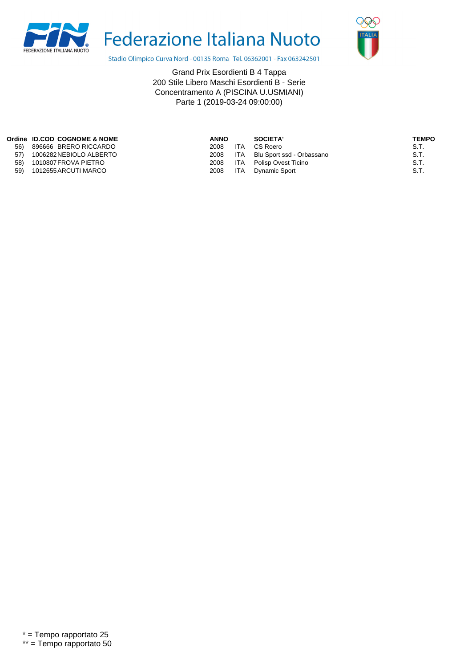



Stadio Olimpico Curva Nord - 00135 Roma Tel. 06362001 - Fax 063242501

|     | Ordine ID.COD COGNOME & NOME | <b>ANNO</b> |            | SOCIETA'                  | TEMPO |
|-----|------------------------------|-------------|------------|---------------------------|-------|
| 56) | 896666 BRERO RICCARDO        | 2008        | <b>ITA</b> | CS Roero                  | S.T.  |
| 57) | 1006282NEBIOLO ALBERTO       | 2008        | ITA        | Blu Sport ssd - Orbassano | S.T.  |
| 58) | 1010807 FROVA PIETRO         | 2008        | ITA        | Polisp Ovest Ticino       | S.T.  |
| 59) | 1012655 ARCUTI MARCO         | 2008        |            | ITA Dynamic Sport         | S.T.  |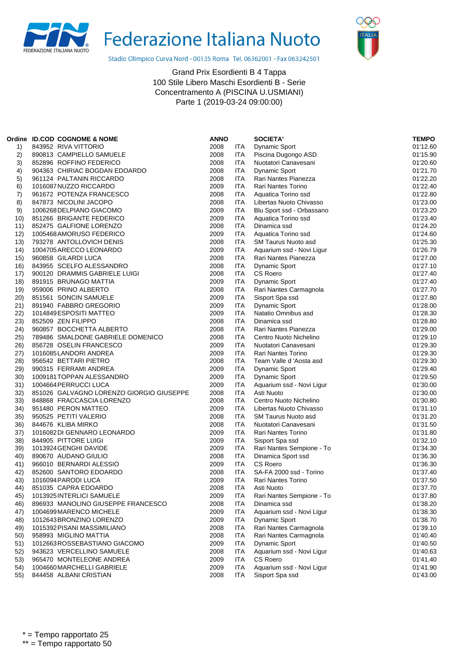



Stadio Olimpico Curva Nord - 00135 Roma Tel. 06362001 - Fax 063242501

|      | Ordine ID.COD COGNOME & NOME             | <b>ANNO</b> |            | <b>SOCIETA'</b>            | <b>TEMPO</b> |
|------|------------------------------------------|-------------|------------|----------------------------|--------------|
| 1)   | 843952 RIVA VITTORIO                     | 2008        | ITA        | <b>Dynamic Sport</b>       | 01'12.60     |
| 2)   | 890813 CAMPIELLO SAMUELE                 | 2008        | ITA        | Piscina Dugongo ASD        | 01'15.90     |
| 3)   | 852896 ROFFINO FEDERICO                  | 2008        | ITA        | Nuotatori Canavesani       | 01'20.60     |
| 4)   | 904363 CHIRIAC BOGDAN EDOARDO            | 2008        | <b>ITA</b> | <b>Dynamic Sport</b>       | 01'21.70     |
| 5)   | 961124 PALTANIN RICCARDO                 | 2008        | ITA        | Rari Nantes Pianezza       | 01'22.20     |
| 6)   | 1016087 NUZZO RICCARDO                   | 2009        | <b>ITA</b> | Rari Nantes Torino         | 01'22.40     |
| 7)   | 961672 POTENZA FRANCESCO                 | 2008        | <b>ITA</b> | Aquatica Torino ssd        | 01'22.80     |
| 8)   | 847873 NICOLINI JACOPO                   | 2008        | ITA        | Libertas Nuoto Chivasso    | 01'23.00     |
| 9)   | 1006268 DELPIANO GIACOMO                 | 2009        | ITA        | Blu Sport ssd - Orbassano  | 01'23.20     |
| 10)  | 851266 BRIGANTE FEDERICO                 | 2009        | <b>ITA</b> | Aquatica Torino ssd        | 01'23.40     |
| 11)  | 852475 GALFIONE LORENZO                  | 2008        | <b>ITA</b> | Dinamica ssd               | 01'24.20     |
| 12)  | 1005468 AMORUSO FEDERICO                 | 2009        | ITA        | Aquatica Torino ssd        | 01'24.60     |
| 13)  | 793278 ANTOLLOVICH DENIS                 | 2008        | <b>ITA</b> | <b>SM Taurus Nuoto asd</b> | 01'25.30     |
| 14)  | 1004705 ARECCO LEONARDO                  | 2009        | <b>ITA</b> | Aquarium ssd - Novi Ligur  | 01'26.79     |
| 15)  | 960858 GILARDI LUCA                      | 2008        | ITA        | Rari Nantes Pianezza       | 01'27.00     |
| 16)  | 843955 SCELFO ALESSANDRO                 | 2008        | <b>ITA</b> | <b>Dynamic Sport</b>       | 01'27.10     |
| 17)  | 900120 DRAMMIS GABRIELE LUIGI            | 2008        | <b>ITA</b> | CS Roero                   | 01'27.40     |
| 18)  | 891915 BRUNAGO MATTIA                    | 2009        | ITA        | <b>Dynamic Sport</b>       | 01'27.40     |
| 19)  | 959006 PRINO ALBERTO                     | 2008        | <b>ITA</b> | Rari Nantes Carmagnola     | 01'27.70     |
| 20)  | 851561 SONCIN SAMUELE                    | 2009        | <b>ITA</b> | Sisport Spa ssd            | 01'27.80     |
| 21)  | 891940 FABBRO GREGORIO                   | 2009        | <b>ITA</b> | <b>Dynamic Sport</b>       | 01'28.00     |
| 22)  | 1014849 ESPOSITI MATTEO                  | 2009        | ITA        | Natatio Omnibus asd        | 01'28.30     |
| 23)  | 852509 ZEN FILIPPO                       | 2008        | ITA        | Dinamica ssd               | 01'28.80     |
| 24)  | 960857 BOCCHETTA ALBERTO                 | 2008        | ITA        | Rari Nantes Pianezza       | 01'29.00     |
| 25)  | 789486 SMALDONE GABRIELE DOMENICO        | 2008        | ITA        | Centro Nuoto Nichelino     | 01'29.10     |
| 26)  | 856728 OSELIN FRANCESCO                  | 2009        | ITA        | Nuotatori Canavesani       | 01'29.30     |
| (27) | 1016085LANDORI ANDREA                    | 2009        | ITA        | Rari Nantes Torino         | 01'29.30     |
| 28)  | 956542 BETTARI PIETRO                    | 2008        | ITA        | Team Valle d 'Aosta asd    | 01'29.30     |
| 29)  | 990315 FERRAMI ANDREA                    | 2009        | <b>ITA</b> | Dynamic Sport              | 01'29.40     |
| 30)  | 1009181TOPPAN ALESSANDRO                 | 2009        | ITA        | <b>Dynamic Sport</b>       | 01'29.50     |
| 31)  | 1004664 PERRUCCI LUCA                    | 2009        | ITA        | Aquarium ssd - Novi Ligur  | 01'30.00     |
| 32)  | 851026 GALVAGNO LORENZO GIORGIO GIUSEPPE | 2008        | <b>ITA</b> | Asti Nuoto                 | 01'30.00     |
| 33)  | 848868 FRACCASCIA LORENZO                | 2008        | ITA        | Centro Nuoto Nichelino     | 01'30.80     |
| 34)  | 951480 PERON MATTEO                      | 2009        | ITA        | Libertas Nuoto Chivasso    | 01'31.10     |
| 35)  | 950525 PETITI VALERIO                    | 2008        | ITA        | <b>SM Taurus Nuoto asd</b> | 01'31.20     |
| 36)  | 844676 KLIBA MIRKO                       | 2008        | ITA        | Nuotatori Canavesani       | 01'31.50     |
| 37)  | 1016082DI GENNARO LEONARDO               | 2009        | ITA        | Rari Nantes Torino         | 01'31.80     |
| 38)  | 844905 PITTORE LUIGI                     | 2009        | <b>ITA</b> | Sisport Spa ssd            | 01'32.10     |
| 39)  | 1013924 GENGHI DAVIDE                    | 2009        | ITA        | Rari Nantes Sempione - To  | 01'34.30     |
| 40)  | 890670 AUDANO GIULIO                     | 2008        | ITA        | Dinamica Sport ssd         | 01'36.30     |
| 41)  | 966010 BERNARDI ALESSIO                  | 2009        | <b>ITA</b> | CS Roero                   | 01'36.30     |
| 42)  | 852600 SANTORO EDOARDO                   | 2008        | ITA        | SA-FA 2000 ssd - Torino    | 01'37.40     |
| 43)  | 1016094 PARODI LUCA                      | 2009        | ITA        | Rari Nantes Torino         | 01'37.50     |
| 44)  | 851035 CAPRA EDOARDO                     | 2008        | ITA        | Asti Nuoto                 | 01'37.70     |
| 45)  | 1013925 INTERLICI SAMUELE                | 2009        | ITA        | Rari Nantes Sempione - To  | 01'37.80     |
| 46)  | 896933 MANOLINO GIUSEPPE FRANCESCO       | 2008        | <b>ITA</b> | Dinamica ssd               | 01'38.20     |
| 47)  | 1004699 MARENCO MICHELE                  | 2009        | ITA        | Aquarium ssd - Novi Ligur  | 01'38.30     |
| 48)  | 1012643 BRONZINO LORENZO                 | 2009        | <b>ITA</b> | <b>Dynamic Sport</b>       | 01'38.70     |
| 49)  | 1015392 PISANI MASSIMILIANO              | 2008        | <b>ITA</b> | Rari Nantes Carmagnola     | 01'39.10     |
| 50)  | 958993 MIGLINO MATTIA                    | 2008        | ITA        | Rari Nantes Carmagnola     | 01'40.40     |
| 51)  | 1012663 ROSSEBASTIANO GIACOMO            | 2009        | <b>ITA</b> | Dynamic Sport              | 01'40.50     |
| 52)  | 943623 VERCELLINO SAMUELE                | 2008        | ITA        | Aquarium ssd - Novi Ligur  | 01'40.63     |
| 53)  | 965470 MONTELEONE ANDREA                 | 2009        | ITA        | CS Roero                   | 01'41.40     |
| 54)  | 1004660 MARCHELLI GABRIELE               | 2009        | <b>ITA</b> | Aquarium ssd - Novi Ligur  | 01'41.90     |
| 55)  | 844458 ALBANI CRISTIAN                   | 2008        | ITA        | Sisport Spa ssd            | 01'43.00     |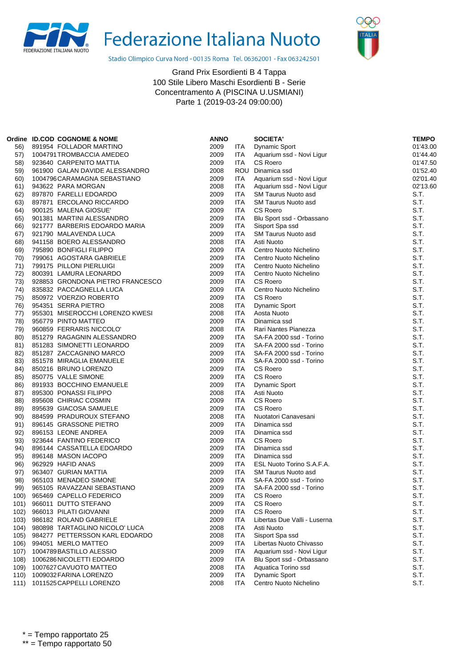



Stadio Olimpico Curva Nord - 00135 Roma Tel. 06362001 - Fax 063242501

|      | Ordine ID.COD COGNOME & NOME     | <b>ANNO</b> |            | <b>SOCIETA'</b>              | <b>TEMPO</b> |
|------|----------------------------------|-------------|------------|------------------------------|--------------|
| 56)  | 891954 FOLLADOR MARTINO          | 2009        | ITA.       | Dynamic Sport                | 01'43.00     |
| 57)  | 1004791 TROMBACCIA AMEDEO        | 2009        | ITA.       | Aquarium ssd - Novi Ligur    | 01'44.40     |
| 58)  | 923640 CARPENITO MATTIA          | 2009        | <b>ITA</b> | CS Roero                     | 01'47.50     |
| 59)  | 961900 GALAN DAVIDE ALESSANDRO   | 2008        |            | ROU Dinamica ssd             | 01'52.40     |
| 60)  | 1004796 CARAMAGNA SEBASTIANO     | 2009        | ITA.       | Aquarium ssd - Novi Ligur    | 02'01.40     |
| 61)  | 943622 PARA MORGAN               | 2008        | <b>ITA</b> | Aquarium ssd - Novi Ligur    | 02'13.60     |
| 62)  | 897870 FARELLI EDOARDO           | 2009        | <b>ITA</b> | <b>SM Taurus Nuoto asd</b>   | S.T.         |
| 63)  | 897871 ERCOLANO RICCARDO         | 2009        | <b>ITA</b> | <b>SM Taurus Nuoto asd</b>   | S.T.         |
| 64)  | 900125 MALENA GIOSUE'            | 2009        | <b>ITA</b> | <b>CS Roero</b>              | S.T.         |
| 65)  | 901381 MARTINI ALESSANDRO        | 2009        | <b>ITA</b> | Blu Sport ssd - Orbassano    | S.T.         |
| 66)  | 921777 BARBERIS EDOARDO MARIA    | 2009        | <b>ITA</b> | Sisport Spa ssd              | S.T.         |
| 67)  | 921790 MALAVENDA LUCA            | 2009        | <b>ITA</b> | SM Taurus Nuoto asd          | S.T.         |
| 68)  | 941158 BOERO ALESSANDRO          | 2008        | <b>ITA</b> | Asti Nuoto                   | S.T.         |
| 69)  | 795890 BONFIGLI FILIPPO          | 2009        | <b>ITA</b> | Centro Nuoto Nichelino       | S.T.         |
| 70)  | 799061 AGOSTARA GABRIELE         | 2009        | <b>ITA</b> | Centro Nuoto Nichelino       | S.T.         |
| 71)  | 799175 PILLONI PIERLUIGI         | 2009        | <b>ITA</b> | Centro Nuoto Nichelino       | S.T.         |
| 72)  | 800391 LAMURA LEONARDO           | 2009        | <b>ITA</b> | Centro Nuoto Nichelino       | S.T.         |
| 73)  | 928853 GRONDONA PIETRO FRANCESCO | 2009        | <b>ITA</b> | CS Roero                     | S.T.         |
| 74)  | 835832 PACCAGNELLA LUCA          | 2009        | ITA        | Centro Nuoto Nichelino       | S.T.         |
| 75)  | 850972 VOERZIO ROBERTO           | 2009        | <b>ITA</b> | <b>CS Roero</b>              | S.T.         |
| 76)  | 954351 SERRA PIETRO              | 2008        | <b>ITA</b> | <b>Dynamic Sport</b>         | S.T.         |
| 77)  | 955301 MISEROCCHI LORENZO KWESI  | 2008        | <b>ITA</b> | Aosta Nuoto                  | S.T.         |
| 78)  | 956779 PINTO MATTEO              | 2009        | <b>ITA</b> | Dinamica ssd                 | S.T.         |
| 79)  | 960859 FERRARIS NICCOLO'         | 2008        | <b>ITA</b> | Rari Nantes Pianezza         | S.T.         |
| 80)  | 851279 RAGAGNIN ALESSANDRO       | 2009        | <b>ITA</b> | SA-FA 2000 ssd - Torino      | S.T.         |
| 81)  | 851283 SIMONETTI LEONARDO        | 2009        | <b>ITA</b> | SA-FA 2000 ssd - Torino      | S.T.         |
| 82)  | 851287 ZACCAGNINO MARCO          | 2009        | <b>ITA</b> | SA-FA 2000 ssd - Torino      | S.T.         |
| 83)  | 851578 MIRAGLIA EMANUELE         | 2009        | ITA        | SA-FA 2000 ssd - Torino      | S.T.         |
| 84)  | 850216 BRUNO LORENZO             | 2009        | <b>ITA</b> | <b>CS Roero</b>              | S.T.         |
| 85)  | 850775 VALLE SIMONE              | 2009        | <b>ITA</b> | CS Roero                     | S.T.         |
| 86)  | 891933 BOCCHINO EMANUELE         | 2009        | <b>ITA</b> | <b>Dynamic Sport</b>         | S.T.         |
| 87)  | 895300 PONASSI FILIPPO           | 2008        | ITA.       | Asti Nuoto                   | S.T.         |
| 88)  | 895608 CHIRIAC COSMIN            | 2009        | <b>ITA</b> | CS Roero                     | S.T.         |
| 89)  | 895639 GIACOSA SAMUELE           | 2009        | <b>ITA</b> | <b>CS Roero</b>              | S.T.         |
| 90)  | 884599 PRADUROUX STEFANO         | 2008        | <b>ITA</b> | Nuotatori Canavesani         | S.T.         |
| 91)  | 896145 GRASSONE PIETRO           | 2009        | <b>ITA</b> | Dinamica ssd                 | S.T.         |
| 92)  | 896153 LEONE ANDREA              | 2009        | <b>ITA</b> | Dinamica ssd                 | S.T.         |
| 93)  | 923644 FANTINO FEDERICO          | 2009        | <b>ITA</b> | <b>CS Roero</b>              | S.T.         |
| 94)  | 896144 CASSATELLA EDOARDO        | 2009        | <b>ITA</b> | Dinamica ssd                 | S.T.         |
| 95)  | 896148 MASON IACOPO              | 2009        | <b>ITA</b> | Dinamica ssd                 | S.T.         |
| 96)  | 962929 HAFID ANAS                | 2009        | ITA.       | ESL Nuoto Torino S.A.F.A.    | S.T.         |
| 97)  | 963407 GURIAN MATTIA             | 2009        | <b>ITA</b> | <b>SM Taurus Nuoto asd</b>   | S.T.         |
| 98)  | 965103 MENADEO SIMONE            | 2009        | <b>ITA</b> | SA-FA 2000 ssd - Torino      | S.T.         |
| 99)  | 965105 RAVAZZANI SEBASTIANO      | 2009        | ITA        | SA-FA 2000 ssd - Torino      | S.T.         |
| 100) | 965469 CAPELLO FEDERICO          | 2009        | <b>ITA</b> | CS Roero                     | S.T.         |
| 101) | 966011 DUTTO STEFANO             | 2009        | ITA        | CS Roero                     | S.T.         |
| 102) | 966013 PILATI GIOVANNI           | 2009        | ITA        | <b>CS Roero</b>              | S.T.         |
| 103) | 986182 ROLAND GABRIELE           | 2009        | ITA        | Libertas Due Valli - Luserna | S.T.         |
| 104) | 980898 TARTAGLINO NICOLO' LUCA   | 2008        | ITA        | Asti Nuoto                   | S.T.         |
| 105) | 984277 PETTERSSON KARL EDOARDO   | 2008        | ITA        | Sisport Spa ssd              | S.T.         |
| 106) | 994051 MERLO MATTEO              | 2009        | ITA        | Libertas Nuoto Chivasso      | S.T.         |
| 107) | 1004789BASTILLO ALESSIO          | 2009        | ITA        | Aquarium ssd - Novi Ligur    | S.T.         |
| 108) | 1006286NICOLETTI EDOARDO         | 2009        | ITA        | Blu Sport ssd - Orbassano    | S.T.         |
| 109) | 1007627 CAVUOTO MATTEO           | 2008        | <b>ITA</b> | Aquatica Torino ssd          | S.T.         |
| 110) | 1009032 FARINA LORENZO           | 2009        | <b>ITA</b> | <b>Dynamic Sport</b>         | S.T.         |
| 111) | 1011525 CAPPELLI LORENZO         | 2008        | ITA        | Centro Nuoto Nichelino       | S.T.         |
|      |                                  |             |            |                              |              |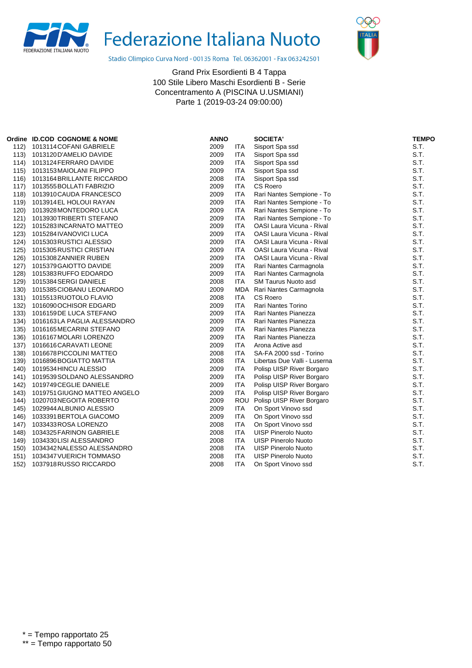



Stadio Olimpico Curva Nord - 00135 Roma Tel. 06362001 - Fax 063242501

|      | Ordine ID.COD COGNOME & NOME    | <b>ANNO</b> |            | <b>SOCIETA'</b>                  | <b>TEMPO</b> |
|------|---------------------------------|-------------|------------|----------------------------------|--------------|
| 112) | 1013114 COFANI GABRIELE         | 2009        | <b>ITA</b> | Sisport Spa ssd                  | S.T.         |
| 113) | 1013120 D'AMELIO DAVIDE         | 2009        | <b>ITA</b> | Sisport Spa ssd                  | S.T.         |
| 114) | 1013124 FERRARO DAVIDE          | 2009        | <b>ITA</b> | Sisport Spa ssd                  | S.T.         |
| 115) | 1013153 MAIOLANI FILIPPO        | 2009        | <b>ITA</b> | Sisport Spa ssd                  | S.T.         |
|      | 116) 1013164 BRILLANTE RICCARDO | 2008        | <b>ITA</b> | Sisport Spa ssd                  | S.T.         |
| 117) | 1013555 BOLLATI FABRIZIO        | 2009        | <b>ITA</b> | CS Roero                         | S.T.         |
| 118) | 1013910 CAUDA FRANCESCO         | 2009        | <b>ITA</b> | Rari Nantes Sempione - To        | S.T.         |
| 119) | 1013914 EL HOLOUI RAYAN         | 2009        | <b>ITA</b> | Rari Nantes Sempione - To        | S.T.         |
| 120) | 1013928 MONTEDORO LUCA          | 2009        | <b>ITA</b> | Rari Nantes Sempione - To        | S.T.         |
| 121) | 1013930 TRIBERTI STEFANO        | 2009        | <b>ITA</b> | Rari Nantes Sempione - To        | S.T.         |
| 122) | 1015283 INCARNATO MATTEO        | 2009        | <b>ITA</b> | OASI Laura Vicuna - Rival        | S.T.         |
| 123) | 1015284 IVANOVICI LUCA          | 2009        | <b>ITA</b> | OASI Laura Vicuna - Rival        | S.T.         |
| 124) | 1015303 RUSTICI ALESSIO         | 2009        | <b>ITA</b> | OASI Laura Vicuna - Rival        | S.T.         |
| 125) | 1015305 RUSTICI CRISTIAN        | 2009        | <b>ITA</b> | OASI Laura Vicuna - Rival        | S.T.         |
| 126) | 1015308ZANNIER RUBEN            | 2009        | <b>ITA</b> | <b>OASI Laura Vicuna - Rival</b> | S.T.         |
| 127) | 1015379 GAIOTTO DAVIDE          | 2009        | <b>ITA</b> | Rari Nantes Carmagnola           | S.T.         |
| 128) | 1015383 RUFFO EDOARDO           | 2009        | <b>ITA</b> | Rari Nantes Carmagnola           | S.T.         |
| 129) | 1015384 SERGI DANIELE           | 2008        | <b>ITA</b> | SM Taurus Nuoto asd              | S.T.         |
| 130) | 1015385 CIOBANU LEONARDO        | 2009        |            | MDA Rari Nantes Carmagnola       | S.T.         |
| 131) | 1015513 RUOTOLO FLAVIO          | 2008        | <b>ITA</b> | CS Roero                         | S.T.         |
| 132) | 1016090 OCHISOR EDGARD          | 2009        | <b>ITA</b> | <b>Rari Nantes Torino</b>        | S.T.         |
| 133) | 1016159 DE LUCA STEFANO         | 2009        | <b>ITA</b> | Rari Nantes Pianezza             | S.T.         |
| 134) | 1016163LA PAGLIA ALESSANDRO     | 2009        | <b>ITA</b> | Rari Nantes Pianezza             | S.T.         |
| 135) | 1016165 MECARINI STEFANO        | 2009        | <b>ITA</b> | Rari Nantes Pianezza             | S.T.         |
| 136) | 1016167 MOLARI LORENZO          | 2009        | <b>ITA</b> | Rari Nantes Pianezza             | S.T.         |
| 137) | 1016616 CARAVATI LEONE          | 2009        | <b>ITA</b> | Arona Active asd                 | S.T.         |
| 138) | 1016678 PICCOLINI MATTEO        | 2008        | <b>ITA</b> | SA-FA 2000 ssd - Torino          | S.T.         |
| 139) | 1016896 BOGIATTO MATTIA         | 2008        | <b>ITA</b> | Libertas Due Valli - Luserna     | S.T.         |
| 140) | 1019534 HINCU ALESSIO           | 2009        | <b>ITA</b> | Polisp UISP River Borgaro        | S.T.         |
| 141) | 1019539 SOLDANO ALESSANDRO      | 2009        | <b>ITA</b> | Polisp UISP River Borgaro        | S.T.         |
| 142) | 1019749 CEGLIE DANIELE          | 2009        | <b>ITA</b> | Polisp UISP River Borgaro        | S.T.         |
| 143) | 1019751 GIUGNO MATTEO ANGELO    | 2009        | <b>ITA</b> | Polisp UISP River Borgaro        | S.T.         |
| 144) | 1020703NEGOITA ROBERTO          | 2009        |            | ROU Polisp UISP River Borgaro    | S.T.         |
| 145) | 1029944 ALBUNIO ALESSIO         | 2009        | <b>ITA</b> | On Sport Vinovo ssd              | S.T.         |
| 146) | 1033391 BERTOLA GIACOMO         | 2009        | <b>ITA</b> | On Sport Vinovo ssd              | S.T.         |
| 147) | 1033433 ROSA LORENZO            | 2008        | <b>ITA</b> | On Sport Vinovo ssd              | S.T.         |
| 148) | 1034325 FARINON GABRIELE        | 2008        | <b>ITA</b> | <b>UISP Pinerolo Nuoto</b>       | S.T.         |
| 149) | 1034330 LISI ALESSANDRO         | 2008        | <b>ITA</b> | <b>UISP Pinerolo Nuoto</b>       | S.T.         |
| 150) | 1034342 NALESSO ALESSANDRO      | 2008        | <b>ITA</b> | <b>UISP Pinerolo Nuoto</b>       | S.T.         |
| 151) | 1034347 VUERICH TOMMASO         | 2008        | <b>ITA</b> | <b>UISP Pinerolo Nuoto</b>       | S.T.         |
| 152) | 1037918RUSSO RICCARDO           | 2008        | <b>ITA</b> | On Sport Vinovo ssd              | S.T.         |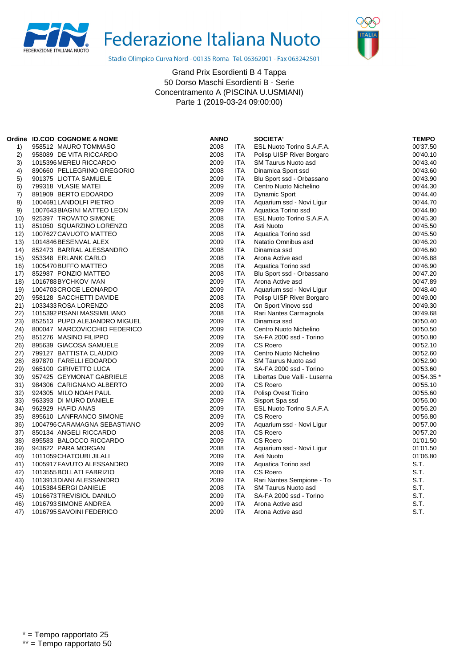



Stadio Olimpico Curva Nord - 00135 Roma Tel. 06362001 - Fax 063242501

|                | Ordine ID.COD COGNOME & NOME | <b>ANNO</b> |            | <b>SOCIETA'</b>              | <b>TEMPO</b> |
|----------------|------------------------------|-------------|------------|------------------------------|--------------|
| 1)             | 958512 MAURO TOMMASO         | 2008        | ITA        | ESL Nuoto Torino S.A.F.A.    | 00'37.50     |
| 2)             | 958089 DE VITA RICCARDO      | 2008        | ITA        | Polisp UISP River Borgaro    | 00'40.10     |
| 3)             | 1015396 MEREU RICCARDO       | 2009        | <b>ITA</b> | <b>SM Taurus Nuoto asd</b>   | 00'43.40     |
| 4)             | 890660 PELLEGRINO GREGORIO   | 2008        | ITA        | Dinamica Sport ssd           | 00'43.60     |
| 5)             | 901375 LIOTTA SAMUELE        | 2009        | ITA        | Blu Sport ssd - Orbassano    | 00'43.90     |
| 6)             | 799318 VLASIE MATEI          | 2009        | ITA        | Centro Nuoto Nichelino       | 00'44.30     |
| $\overline{7}$ | 891909 BERTO EDOARDO         | 2009        | ITA        | Dynamic Sport                | 00'44.40     |
| 8)             | 1004691 LANDOLFI PIETRO      | 2009        | ITA        | Aquarium ssd - Novi Ligur    | 00'44.70     |
| 9)             | 1007643 BIAGINI MATTEO LEON  | 2009        | <b>ITA</b> | Aquatica Torino ssd          | 00'44.80     |
| 10)            | 925397 TROVATO SIMONE        | 2008        | <b>ITA</b> | ESL Nuoto Torino S.A.F.A.    | 00'45.30     |
| 11)            | 851050 SQUARZINO LORENZO     | 2008        | <b>ITA</b> | Asti Nuoto                   | 00'45.50     |
| 12)            | 1007627 CAVUOTO MATTEO       | 2008        | ITA.       | Aquatica Torino ssd          | 00'45.50     |
| 13)            | 1014846BESENVAL ALEX         | 2009        | ITA        | Natatio Omnibus asd          | 00'46.20     |
| (14)           | 852473 BARRAL ALESSANDRO     | 2008        | ITA        | Dinamica ssd                 | 00'46.60     |
| 15)            | 953348 ERLANK CARLO          | 2008        | ITA        | Arona Active asd             | 00'46.88     |
| 16)            | 1005470 BUFFO MATTEO         | 2008        | ITA        | Aquatica Torino ssd          | 00'46.90     |
| 17)            | 852987 PONZIO MATTEO         | 2008        | ITA        | Blu Sport ssd - Orbassano    | 00'47.20     |
| 18)            | 1016788 BYCHKOV IVAN         | 2009        | ITA        | Arona Active asd             | 00'47.89     |
| 19)            | 1004703 CROCE LEONARDO       | 2009        | ITA.       | Aquarium ssd - Novi Ligur    | 00'48.40     |
| 20)            | 958128 SACCHETTI DAVIDE      | 2008        | ITA        | Polisp UISP River Borgaro    | 00'49.00     |
| 21)            | 1033433 ROSA LORENZO         | 2008        | ITA        | On Sport Vinovo ssd          | 00'49.30     |
| 22)            | 1015392 PISANI MASSIMILIANO  | 2008        | ITA        | Rari Nantes Carmagnola       | 00'49.68     |
| (23)           | 852513 PUPO ALEJANDRO MIGUEL | 2009        | ITA        | Dinamica ssd                 | 00'50.40     |
| 24)            | 800047 MARCOVICCHIO FEDERICO | 2009        | <b>ITA</b> | Centro Nuoto Nichelino       | 00'50.50     |
| 25)            | 851276 MASINO FILIPPO        | 2009        | <b>ITA</b> | SA-FA 2000 ssd - Torino      | 00'50.80     |
| 26)            | 895639 GIACOSA SAMUELE       | 2009        | ITA.       | CS Roero                     | 00'52.10     |
| 27)            | 799127 BATTISTA CLAUDIO      | 2009        | ITA        | Centro Nuoto Nichelino       | 00'52.60     |
| 28)            | 897870 FARELLI EDOARDO       | 2009        | <b>ITA</b> | SM Taurus Nuoto asd          | 00'52.90     |
| 29)            | 965100 GIRIVETTO LUCA        | 2009        | ITA        | SA-FA 2000 ssd - Torino      | 00'53.60     |
| 30)            | 957425 GEYMONAT GABRIELE     | 2008        | ITA.       | Libertas Due Valli - Luserna | 00'54.35     |
| 31)            | 984306 CARIGNANO ALBERTO     | 2009        | ITA        | CS Roero                     | 00'55.10     |
| 32)            | 924305 MILO NOAH PAUL        | 2009        | <b>ITA</b> | Polisp Ovest Ticino          | 00'55.60     |
| 33)            | 963393 DI MURO DANIELE       | 2009        | <b>ITA</b> | Sisport Spa ssd              | 00'56.00     |
| 34)            | 962929 HAFID ANAS            | 2009        | <b>ITA</b> | ESL Nuoto Torino S.A.F.A.    | 00'56.20     |
| 35)            | 895610 LANFRANCO SIMONE      | 2009        | ITA        | CS Roero                     | 00'56.80     |
| 36)            | 1004796 CARAMAGNA SEBASTIANO | 2009        | ITA        | Aquarium ssd - Novi Ligur    | 00'57.00     |
| 37)            | 850134 ANGELI RICCARDO       | 2008        | ITA        | CS Roero                     | 00'57.20     |
| 38)            | 895583 BALOCCO RICCARDO      | 2009        | ITA        | <b>CS Roero</b>              | 01'01.50     |
| 39)            | 943622 PARA MORGAN           | 2008        | ITA.       | Aquarium ssd - Novi Ligur    | 01'01.50     |
| 40)            | 1011059 CHATOUBI JILALI      | 2009        | ITA        | Asti Nuoto                   | 01'06.80     |
| 41)            | 1005917 FAVUTO ALESSANDRO    | 2009        | <b>ITA</b> | Aquatica Torino ssd          | S.T.         |
| 42)            | 1013555 BOLLATI FABRIZIO     | 2009        | <b>ITA</b> | CS Roero                     | S.T.         |
| 43)            | 1013913 DIANI ALESSANDRO     | 2009        | <b>ITA</b> | Rari Nantes Sempione - To    | S.T.         |
| 44)            | 1015384 SERGI DANIELE        | 2008        | ITA        | <b>SM Taurus Nuoto asd</b>   | S.T.         |
| 45)            | 1016673 TREVISIOL DANILO     | 2009        | <b>ITA</b> | SA-FA 2000 ssd - Torino      | S.T.         |
| 46)            | 1016793 SIMONE ANDREA        | 2009        | ITA        | Arona Active asd             | S.T.         |
| 47)            | 1016795 SAVOINI FEDERICO     | 2009        | ITA        | Arona Active asd             | S.T.         |
|                |                              |             |            |                              |              |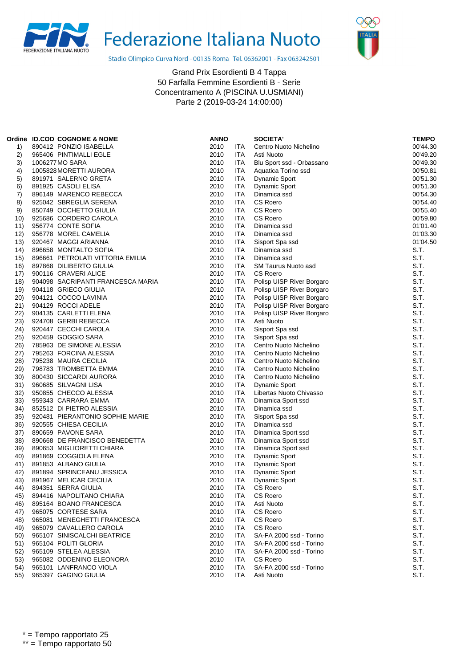



Stadio Olimpico Curva Nord - 00135 Roma Tel. 06362001 - Fax 063242501

|            | Ordine ID.COD COGNOME & NOME                  | <b>ANNO</b>  |                   | <b>SOCIETA'</b>                    | <b>TEMPO</b> |
|------------|-----------------------------------------------|--------------|-------------------|------------------------------------|--------------|
| 1)         | 890412 PONZIO ISABELLA                        | 2010         | <b>ITA</b>        | Centro Nuoto Nichelino             | 00'44.30     |
| 2)         | 965406 PINTIMALLI EGLE                        | 2010         | ITA               | Asti Nuoto                         | 00'49.20     |
| 3)         | 1006277 MO SARA                               | 2010         | <b>ITA</b>        | Blu Sport ssd - Orbassano          | 00'49.30     |
| 4)         | 1005828 MORETTI AURORA                        | 2010         | <b>ITA</b>        | Aquatica Torino ssd                | 00'50.81     |
| 5)         | 891971 SALERNO GRETA                          | 2010         | <b>ITA</b>        | <b>Dynamic Sport</b>               | 00'51.30     |
| 6)         | 891925 CASOLI ELISA                           | 2010         | ITA               | <b>Dynamic Sport</b>               | 00'51.30     |
| 7)         | 896149 MARENCO REBECCA                        | 2010         | <b>ITA</b>        | Dinamica ssd                       | 00'54.30     |
| 8)         | 925042 SBREGLIA SERENA                        | 2010         | <b>ITA</b>        | CS Roero                           | 00'54.40     |
| 9)         | 850749 OCCHETTO GIULIA                        | 2010         | <b>ITA</b>        | CS Roero                           | 00'55.40     |
| 10)        | 925686 CORDERO CAROLA                         | 2010         | ITA               | CS Roero                           | 00'59.80     |
| 11)        | 956774 CONTE SOFIA                            | 2010         | <b>ITA</b>        | Dinamica ssd                       | 01'01.40     |
| 12)        | 956778 MOREL CAMELIA                          | 2010         | ITA               | Dinamica ssd                       | 01'03.30     |
| (13)       | 920467 MAGGI ARIANNA                          | 2010         | ITA               | Sisport Spa ssd                    | 01'04.50     |
| 14)        | 896658 MONTALTO SOFIA                         | 2010         | ITA               | Dinamica ssd                       | S.T.         |
| 15)        | 896661 PETROLATI VITTORIA EMILIA              | 2010         | ITA               | Dinamica ssd                       | S.T.         |
| 16)        | 897868 DILIBERTO GIULIA                       | 2010         | <b>ITA</b>        | SM Taurus Nuoto asd                | S.T.         |
| 17)        | 900116 CRAVERI ALICE                          | 2010         | <b>ITA</b>        | <b>CS Roero</b>                    | S.T.         |
| 18)        | 904098 SACRIPANTI FRANCESCA MARIA             | 2010         | <b>ITA</b>        | Polisp UISP River Borgaro          | S.T.         |
| 19)        | 904118 GRIECO GIULIA                          | 2010         | <b>ITA</b>        | Polisp UISP River Borgaro          | S.T.         |
| 20)        | 904121 COCCO LAVINIA                          | 2010         | <b>ITA</b>        | Polisp UISP River Borgaro          | S.T.         |
| 21)        | 904129 ROCCI ADELE                            | 2010         | <b>ITA</b>        |                                    | S.T.         |
|            |                                               |              |                   | Polisp UISP River Borgaro          | S.T.         |
| 22)<br>23) | 904135 CARLETTI ELENA<br>924708 GERBI REBECCA | 2010<br>2010 | ITA<br><b>ITA</b> | Polisp UISP River Borgaro          | S.T.         |
|            | 920447 CECCHI CAROLA                          | 2010         | <b>ITA</b>        | Asti Nuoto                         | S.T.         |
| 24)<br>25) | 920459 GOGGIO SARA                            | 2010         | <b>ITA</b>        | Sisport Spa ssd<br>Sisport Spa ssd | S.T.         |
| 26)        | 785963 DE SIMONE ALESSIA                      | 2010         | ITA               | Centro Nuoto Nichelino             | S.T.         |
| (27)       | 795263 FORCINA ALESSIA                        | 2010         | <b>ITA</b>        | Centro Nuoto Nichelino             | S.T.         |
| 28)        | 795238 MAURA CECILIA                          | 2010         | ITA               | Centro Nuoto Nichelino             | S.T.         |
| 29)        | 798783 TROMBETTA EMMA                         | 2010         | <b>ITA</b>        | Centro Nuoto Nichelino             | S.T.         |
| 30)        | 800430 SICCARDI AURORA                        | 2010         | <b>ITA</b>        | Centro Nuoto Nichelino             | S.T.         |
| 31)        | 960685 SILVAGNI LISA                          | 2010         | <b>ITA</b>        | <b>Dynamic Sport</b>               | S.T.         |
| 32)        | 950855 CHECCO ALESSIA                         | 2010         | <b>ITA</b>        | Libertas Nuoto Chivasso            | S.T.         |
| 33)        | 959343 CARRARA EMMA                           | 2010         | <b>ITA</b>        | Dinamica Sport ssd                 | S.T.         |
| 34)        | 852512 DI PIETRO ALESSIA                      | 2010         | <b>ITA</b>        | Dinamica ssd                       | S.T.         |
| 35)        | 920481 PIERANTONIO SOPHIE MARIE               | 2010         | <b>ITA</b>        | Sisport Spa ssd                    | S.T.         |
| 36)        | 920555 CHIESA CECILIA                         | 2010         | <b>ITA</b>        | Dinamica ssd                       | S.T.         |
| 37)        | 890659 PAVONE SARA                            | 2010         | <b>ITA</b>        | Dinamica Sport ssd                 | S.T.         |
| 38)        | 890668 DE FRANCISCO BENEDETTA                 | 2010         | <b>ITA</b>        | Dinamica Sport ssd                 | S.T.         |
| 39)        | 890653 MIGLIORETTI CHIARA                     | 2010         | <b>ITA</b>        | Dinamica Sport ssd                 | S.T.         |
| 40)        | 891869 COGGIOLA ELENA                         | 2010         | <b>ITA</b>        | <b>Dynamic Sport</b>               | S.T.         |
| 41)        | 891853 ALBANO GIULIA                          | 2010         | <b>ITA</b>        | <b>Dynamic Sport</b>               | S.T.         |
| 42)        | 891894 SPRINCEANU JESSICA                     | 2010         | <b>ITA</b>        | <b>Dynamic Sport</b>               | S.T.         |
| 43)        | 891967 MELICAR CECILIA                        | 2010         | <b>ITA</b>        | <b>Dynamic Sport</b>               | S.T.         |
| 44)        | 894351 SERRA GIULIA                           | 2010         | <b>ITA</b>        | CS Roero                           | S.T.         |
| 45)        | 894416 NAPOLITANO CHIARA                      | 2010         | ITA               | CS Roero                           | S.T.         |
| 46)        | 895164 BOANO FRANCESCA                        | 2010         | ITA               | Asti Nuoto                         | S.T.         |
| 47)        | 965075 CORTESE SARA                           | 2010         | ITA               | <b>CS Roero</b>                    | S.T.         |
| 48)        | 965081 MENEGHETTI FRANCESCA                   | 2010         | <b>ITA</b>        | CS Roero                           | S.T.         |
| 49)        | 965079 CAVALLERO CAROLA                       | 2010         | ITA               | CS Roero                           | S.T.         |
| 50)        | 965107 SINISCALCHI BEATRICE                   | 2010         | ITA               | SA-FA 2000 ssd - Torino            | S.T.         |
| 51)        | 965104 POLITI GLORIA                          | 2010         | <b>ITA</b>        | SA-FA 2000 ssd - Torino            | S.T.         |
| 52)        | 965109 STELEA ALESSIA                         | 2010         | ITA               | SA-FA 2000 ssd - Torino            | S.T.         |
| 53)        | 965082 ODDENINO ELEONORA                      | 2010         | ITA               | <b>CS Roero</b>                    | S.T.         |
| 54)        | 965101 LANFRANCO VIOLA                        | 2010         | <b>ITA</b>        | SA-FA 2000 ssd - Torino            | S.T.         |
| 55)        | 965397 GAGINO GIULIA                          | 2010         | <b>ITA</b>        | Asti Nuoto                         | S.T.         |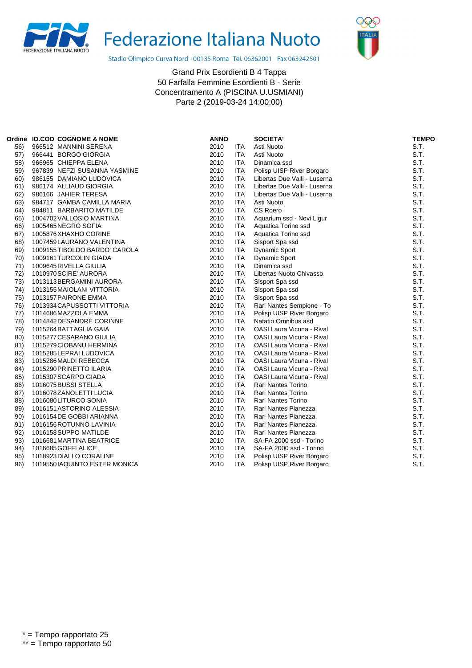



Stadio Olimpico Curva Nord - 00135 Roma Tel. 06362001 - Fax 063242501

|     | Ordine ID.COD COGNOME & NOME  | <b>ANNO</b> |            | <b>SOCIETA'</b>                  | <b>TEMPO</b> |
|-----|-------------------------------|-------------|------------|----------------------------------|--------------|
| 56) | 966512 MANNINI SERENA         | 2010        | <b>ITA</b> | Asti Nuoto                       | S.T.         |
| 57) | 966441 BORGO GIORGIA          | 2010        | <b>ITA</b> | Asti Nuoto                       | S.T.         |
| 58) | 966965 CHIEPPA ELENA          | 2010        | <b>ITA</b> | Dinamica ssd                     | S.T.         |
| 59) | 967839 NEFZI SUSANNA YASMINE  | 2010        | <b>ITA</b> | Polisp UISP River Borgaro        | S.T.         |
| 60) | 986155 DAMIANO LUDOVICA       | 2010        | <b>ITA</b> | Libertas Due Valli - Luserna     | S.T.         |
| 61) | 986174 ALLIAUD GIORGIA        | 2010        | <b>ITA</b> | Libertas Due Valli - Luserna     | S.T.         |
| 62) | 986166 JAHIER TERESA          | 2010        | <b>ITA</b> | Libertas Due Valli - Luserna     | S.T.         |
| 63) | 984717 GAMBA CAMILLA MARIA    | 2010        | <b>ITA</b> | Asti Nuoto                       | S.T.         |
| 64) | 984811 BARBARITO MATILDE      | 2010        | <b>ITA</b> | CS Roero                         | S.T.         |
| 65) | 1004702 VALLOSIO MARTINA      | 2010        | <b>ITA</b> | Aquarium ssd - Novi Ligur        | S.T.         |
| 66) | 1005465NEGRO SOFIA            | 2010        | <b>ITA</b> | Aquatica Torino ssd              | S.T.         |
| 67) | 1005876 XHAXHO CORINE         | 2010        | <b>ITA</b> | Aquatica Torino ssd              | S.T.         |
| 68) | 1007459 LAURANO VALENTINA     | 2010        | <b>ITA</b> | Sisport Spa ssd                  | S.T.         |
| 69) | 1009155 TIBOLDO BARDO' CAROLA | 2010        | <b>ITA</b> | <b>Dynamic Sport</b>             | S.T.         |
| 70) | 1009161 TURCOLIN GIADA        | 2010        | <b>ITA</b> | <b>Dynamic Sport</b>             | S.T.         |
| 71) | 1009645 RIVELLA GIULIA        | 2010        | <b>ITA</b> | Dinamica ssd                     | S.T.         |
| 72) | 1010970 SCIRE' AURORA         | 2010        | <b>ITA</b> | Libertas Nuoto Chivasso          | S.T.         |
| 73) | 1013113 BERGAMINI AURORA      | 2010        | <b>ITA</b> | Sisport Spa ssd                  | S.T.         |
| 74) | 1013155 MAIOLANI VITTORIA     | 2010        | <b>ITA</b> | Sisport Spa ssd                  | S.T.         |
| 75) | 1013157 PAIRONE EMMA          | 2010        | <b>ITA</b> | Sisport Spa ssd                  | S.T.         |
| 76) | 1013934 CAPUSSOTTI VITTORIA   | 2010        | <b>ITA</b> | Rari Nantes Sempione - To        | S.T.         |
| 77) | 1014686 MAZZOLA EMMA          | 2010        | <b>ITA</b> | Polisp UISP River Borgaro        | S.T.         |
| 78) | 1014842 DESANDRÉ CORINNE      | 2010        | <b>ITA</b> | Natatio Omnibus asd              | S.T.         |
| 79) | 1015264 BATTAGLIA GAIA        | 2010        | <b>ITA</b> | OASI Laura Vicuna - Rival        | S.T.         |
| 80) | 1015277 CESARANO GIULIA       | 2010        | <b>ITA</b> | <b>OASI Laura Vicuna - Rival</b> | S.T.         |
| 81) | 1015279 CIOBANU HERMINA       | 2010        | <b>ITA</b> | OASI Laura Vicuna - Rival        | S.T.         |
| 82) | 1015285 LEPRAI LUDOVICA       | 2010        | <b>ITA</b> | OASI Laura Vicuna - Rival        | S.T.         |
| 83) | 1015286 MALDI REBECCA         | 2010        | <b>ITA</b> | OASI Laura Vicuna - Rival        | S.T.         |
| 84) | 1015290 PRINETTO ILARIA       | 2010        | <b>ITA</b> | OASI Laura Vicuna - Rival        | S.T.         |
| 85) | 1015307 SCARPO GIADA          | 2010        | <b>ITA</b> | OASI Laura Vicuna - Rival        | S.T.         |
| 86) | 1016075 BUSSI STELLA          | 2010        | <b>ITA</b> | Rari Nantes Torino               | S.T.         |
| 87) | 1016078ZANOLETTI LUCIA        | 2010        | <b>ITA</b> | Rari Nantes Torino               | S.T.         |
| 88) | 1016080LITURCO SONIA          | 2010        | <b>ITA</b> | <b>Rari Nantes Torino</b>        | S.T.         |
| 89) | 1016151 ASTORINO ALESSIA      | 2010        | <b>ITA</b> | Rari Nantes Pianezza             | S.T.         |
| 90) | 1016154 DE GOBBI ARIANNA      | 2010        | <b>ITA</b> | Rari Nantes Pianezza             | S.T.         |
| 91) | 1016156 ROTUNNO LAVINIA       | 2010        | <b>ITA</b> | Rari Nantes Pianezza             | S.T.         |
| 92) | 1016158 SUPPO MATILDE         | 2010        | <b>ITA</b> | Rari Nantes Pianezza             | S.T.         |
| 93) | 1016681 MARTINA BEATRICE      | 2010        | <b>ITA</b> | SA-FA 2000 ssd - Torino          | S.T.         |
| 94) | 1016685 GOFFI ALICE           | 2010        | <b>ITA</b> | SA-FA 2000 ssd - Torino          | S.T.         |
| 95) | 1018923 DIALLO CORALINE       | 2010        | <b>ITA</b> | Polisp UISP River Borgaro        | S.T.         |
| 96) | 1019550IAQUINTO ESTER MONICA  | 2010        | <b>ITA</b> | Polisp UISP River Borgaro        | S.T.         |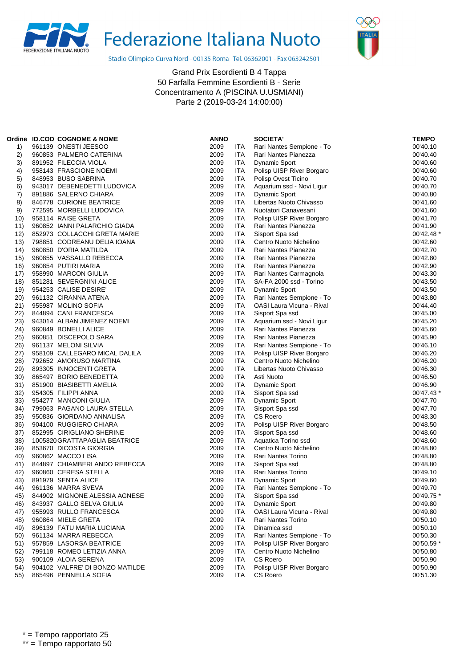



Stadio Olimpico Curva Nord - 00135 Roma Tel. 06362001 - Fax 063242501

|            | Ordine ID.COD COGNOME & NOME                    | <b>ANNO</b> |            | <b>SOCIETA'</b>                    | <b>TEMPO</b>         |
|------------|-------------------------------------------------|-------------|------------|------------------------------------|----------------------|
| 1)         | 961139 ONESTI JEESOO                            | 2009        | <b>ITA</b> | Rari Nantes Sempione - To          | 00'40.10             |
| 2)         | 960853 PALMERO CATERINA                         | 2009        | ITA        | Rari Nantes Pianezza               | 00'40.40             |
| 3)         | 891952 FILECCIA VIOLA                           | 2009        | ITA        | <b>Dynamic Sport</b>               | 00'40.60             |
| 4)         | 958143 FRASCIONE NOEMI                          | 2009        | ITA        | Polisp UISP River Borgaro          | 00'40.60             |
| 5)         | 848953 BUSO SABRINA                             | 2009        | ITA        | Polisp Ovest Ticino                | 00'40.70             |
| 6)         | 943017 DEBENEDETTI LUDOVICA                     | 2009        | ITA        | Aquarium ssd - Novi Ligur          | 00'40.70             |
| 7)         | 891886 SALERNO CHIARA                           | 2009        | ITA        | Dynamic Sport                      | 00'40.80             |
| 8)         | 846778 CURIONE BEATRICE                         | 2009        | ITA        | Libertas Nuoto Chivasso            | 00'41.60             |
| 9)         | 772595 MORBELLI LUDOVICA                        | 2009        | ITA        | Nuotatori Canavesani               | 00'41.60             |
| 10)        | 958114 RAISE GRETA                              | 2009        | <b>ITA</b> | Polisp UISP River Borgaro          | 00'41.70             |
| 11)        | 960852 IANNI PALARCHIO GIADA                    | 2009        | ITA        | Rari Nantes Pianezza               | 00'41.90             |
| 12)        | 852973 COLLACCHI GRETA MARIE                    | 2009        | <b>ITA</b> | Sisport Spa ssd                    | 00'42.48 *           |
| 13)        | 798851 CODREANU DELIA IOANA                     | 2009        | ITA        | Centro Nuoto Nichelino             | 00'42.60             |
| 14)        | 960850 D'ORIA MATILDA                           | 2009        | ITA        | Rari Nantes Pianezza               | 00'42.70             |
| 15)        | 960855 VASSALLO REBECCA                         | 2009        | <b>ITA</b> | Rari Nantes Pianezza               | 00'42.80             |
| 16)        | 960854 PUTIRI MARIA                             | 2009        | ITA        | Rari Nantes Pianezza               | 00'42.90             |
| 17)        | 958990 MARCON GIULIA                            | 2009        | ITA        | Rari Nantes Carmagnola             | 00'43.30             |
| 18)        | 851281 SEVERGNINI ALICE                         | 2009        | ITA        | SA-FA 2000 ssd - Torino            | 00'43.50             |
| 19)        | 954253 CALISE DESIRE'                           | 2009        | ITA        | <b>Dynamic Sport</b>               | 00'43.50             |
| 20)        | 961132 CIRANNA ATENA                            | 2009        | ITA        | Rari Nantes Sempione - To          | 00'43.80             |
| 21)        | 955987 MOLINO SOFIA                             | 2009        | ITA        | <b>OASI Laura Vicuna - Rival</b>   | 00'44.40             |
| 22)        | 844894 CANI FRANCESCA                           | 2009        | ITA        | Sisport Spa ssd                    | 00'45.00             |
| 23)        | 943014 ALBAN JIMENEZ NOEMI                      | 2009        | ITA        | Aquarium ssd - Novi Ligur          | 00'45.20             |
| (24)       | 960849 BONELLI ALICE                            | 2009        | ITA        | Rari Nantes Pianezza               | 00'45.60             |
| 25)        | 960851 DISCEPOLO SARA                           | 2009        | <b>ITA</b> | Rari Nantes Pianezza               | 00'45.90             |
| 26)        | 961137 MELONI SILVIA                            | 2009        | ITA        | Rari Nantes Sempione - To          | 00'46.10             |
| 27)        | 958109 CALLEGARO MICAL DALILA                   | 2009        | ITA        | Polisp UISP River Borgaro          | 00'46.20             |
| 28)        | 792652 AMORUSO MARTINA                          | 2009        | ITA        | Centro Nuoto Nichelino             | 00'46.20             |
| 29)        | 893305 INNOCENTI GRETA                          | 2009        | ITA        | Libertas Nuoto Chivasso            | 00'46.30             |
| 30)        | 865497 BORIO BENEDETTA                          | 2009        | <b>ITA</b> | Asti Nuoto                         | 00'46.50             |
| 31)        | 851900 BIASIBETTI AMELIA                        | 2009        | ITA        | Dynamic Sport                      | 00'46.90             |
| 32)        | 954305 FILIPPI ANNA                             | 2009        | ITA        | Sisport Spa ssd                    | 00'47.43 *           |
| 33)        | 954277 MANCONI GIULIA                           | 2009        | ITA        | <b>Dynamic Sport</b>               | 00'47.70             |
| 34)        | 799063 PAGANO LAURA STELLA                      | 2009        | ITA        | Sisport Spa ssd                    | 00'47.70             |
| 35)        | 950836 GIORDANO ANNALISA                        | 2009        | ITA        | CS Roero                           | 00'48.30             |
| 36)        | 904100 RUGGIERO CHIARA                          | 2009        | ITA        | Polisp UISP River Borgaro          | 00'48.50             |
| 37)        | 852995 CIRIGLIANO SHERINE                       | 2009        | ITA        | Sisport Spa ssd                    | 00'48.60             |
| 38)        | 1005820 GRATTAPAGLIA BEATRICE                   | 2009        | ITA        | Aquatica Torino ssd                | 00'48.60             |
| 39)        | 853670 DICOSTA GIORGIA                          | 2009        | ITA        | Centro Nuoto Nichelino             | 00'48.80             |
| 40)        | 960862 MACCO LISA                               | 2009        | ITA        | <b>Rari Nantes Torino</b>          | 00'48.80             |
| 41)        | 844897 CHIAMBERLANDO REBECCA                    | 2009        | <b>ITA</b> | Sisport Spa ssd                    | 00'48.80             |
| 42)        | 960860 CERESA STELLA                            | 2009        | ITA        | Rari Nantes Torino                 | 00'49.10             |
| 43)        | 891979 SENTA ALICE                              | 2009        | <b>ITA</b> | <b>Dynamic Sport</b>               | 00'49.60             |
| 44)        | 961136 MARRA SVEVA                              | 2009        | <b>ITA</b> | Rari Nantes Sempione - To          | 00'49.70             |
| 45)        | 844902 MIGNONE ALESSIA AGNESE                   | 2009        | <b>ITA</b> | Sisport Spa ssd                    | 00'49.75 *           |
|            | 843937 GALLO SELVA GIULIA                       | 2009        | ITA        | <b>Dynamic Sport</b>               |                      |
| 46)<br>47) | 955993 RULLO FRANCESCA                          | 2009        | <b>ITA</b> | OASI Laura Vicuna - Rival          | 00'49.80<br>00'49.80 |
|            |                                                 | 2009        | <b>ITA</b> |                                    |                      |
| 48)        | 960864 MIELE GRETA<br>896139 FATU MARIA LUCIANA | 2009        | <b>ITA</b> | Rari Nantes Torino<br>Dinamica ssd | 00'50.10<br>00'50.10 |
| 49)        |                                                 |             |            | Rari Nantes Sempione - To          |                      |
| 50)        | 961134 MARRA REBECCA<br>957859 LASORSA BEATRICE | 2009        | <b>ITA</b> | Polisp UISP River Borgaro          | 00'50.30             |
| 51)        | 799118 ROMEO LETIZIA ANNA                       | 2009        | ITA        |                                    | 00'50.59 *           |
| 52)        |                                                 | 2009        | <b>ITA</b> | Centro Nuoto Nichelino             | 00'50.80             |
| 53)        | 900109 ALOIA SERENA                             | 2009        | <b>ITA</b> | <b>CS Roero</b>                    | 00'50.90             |
| 54)        | 904102 VALFRE' DI BONZO MATILDE                 | 2009        | ITA        | Polisp UISP River Borgaro          | 00'50.90             |
| 55)        | 865496 PENNELLA SOFIA                           | 2009        | ITA        | CS Roero                           | 00'51.30             |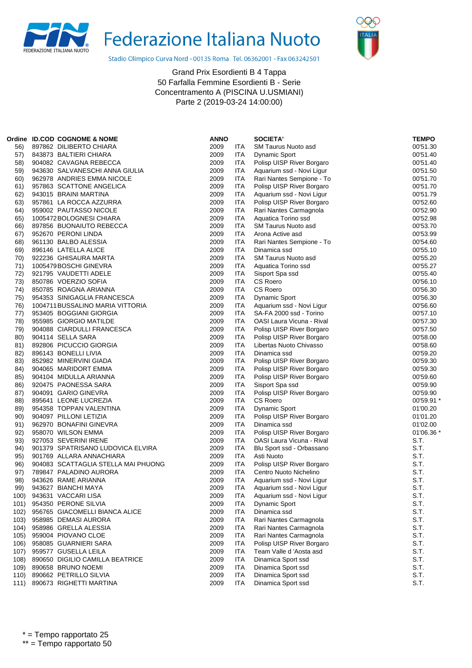



Stadio Olimpico Curva Nord - 00135 Roma Tel. 06362001 - Fax 063242501

|              | Ordine ID.COD COGNOME & NOME                          | <b>ANNO</b>  |                          | <b>SOCIETA'</b>                          | <b>TEMPO</b> |
|--------------|-------------------------------------------------------|--------------|--------------------------|------------------------------------------|--------------|
| 56)          | 897862 DILIBERTO CHIARA                               | 2009         | ITA                      | SM Taurus Nuoto asd                      | 00'51.30     |
| 57)          | 843873 BALTIERI CHIARA                                | 2009         | ITA                      | Dynamic Sport                            | 00'51.40     |
| 58)          | 904082 CAVAGNA REBECCA                                | 2009         | ITA                      | Polisp UISP River Borgaro                | 00'51.40     |
| 59)          | 943630 SALVANESCHI ANNA GIULIA                        | 2009         | ITA                      | Aquarium ssd - Novi Ligur                | 00'51.50     |
| 60)          | 962978 ANDRIES EMMA NICOLE                            | 2009         | ITA                      | Rari Nantes Sempione - To                | 00'51.70     |
| 61)          | 957863 SCATTONE ANGELICA                              | 2009         | ITA                      | Polisp UISP River Borgaro                | 00'51.70     |
| 62)          | 943015 BRAINI MARTINA                                 | 2009         | ITA                      | Aquarium ssd - Novi Ligur                | 00'51.79     |
| 63)          | 957861 LA ROCCA AZZURRA                               | 2009         | ITA                      | Polisp UISP River Borgaro                | 00'52.60     |
| 64)          | 959002 PAUTASSO NICOLE                                | 2009         | ITA                      | Rari Nantes Carmagnola                   | 00'52.90     |
| 65)          | 1005472 BOLOGNESI CHIARA                              | 2009         | <b>ITA</b>               | Aquatica Torino ssd                      | 00'52.98     |
| 66)          | 897856 BUONAIUTO REBECCA                              | 2009         | ITA                      | <b>SM Taurus Nuoto asd</b>               | 00'53.70     |
| 67)          | 952670 PERONI LINDA                                   | 2009         | ITA                      | Arona Active asd                         | 00'53.99     |
| 68)          | 961130 BALBO ALESSIA                                  | 2009         | ITA                      | Rari Nantes Sempione - To                | 00'54.60     |
| 69)          | 896146 LATELLA ALICE                                  | 2009         | ITA                      | Dinamica ssd                             | 00'55.10     |
| 70)          | 922236 GHISAURA MARTA                                 | 2009         | ITA                      | <b>SM Taurus Nuoto asd</b>               | 00'55.20     |
| 71)          | 1005479 BOSCHI GINEVRA                                | 2009         | <b>ITA</b>               | Aquatica Torino ssd                      | 00'55.27     |
| 72)          | 921795 VAUDETTI ADELE                                 | 2009         | ITA                      | Sisport Spa ssd                          | 00'55.40     |
| 73)          | 850786 VOERZIO SOFIA                                  | 2009         | ITA                      | CS Roero                                 | 00'56.10     |
| 74)          | 850785 ROAGNA ARIANNA                                 | 2009         | ITA                      | CS Roero                                 | 00'56.30     |
| 75)          | 954353 SINIGAGLIA FRANCESCA                           | 2009         | ITA                      | <b>Dynamic Sport</b>                     | 00'56.30     |
| 76)          | 1004711 BUSSALINO MARIA VITTORIA                      | 2009         | ITA                      | Aquarium ssd - Novi Ligur                | 00'56.60     |
| 77)          | 953405 BOGGIANI GIORGIA                               | 2009         | ITA                      | SA-FA 2000 ssd - Torino                  | 00'57.10     |
| 78)          | 955985 GIORGIO MATILDE                                | 2009         | ITA                      | OASI Laura Vicuna - Rival                | 00'57.30     |
| 79)          | 904088 CIARDULLI FRANCESCA                            | 2009         | ITA                      | Polisp UISP River Borgaro                | 00'57.50     |
| 80)          | 904114 SELLA SARA                                     | 2009         | ITA                      | Polisp UISP River Borgaro                | 00'58.00     |
| 81)          | 892806 PICUCCIO GIORGIA                               | 2009         | <b>ITA</b>               | Libertas Nuoto Chivasso                  | 00'58.60     |
| 82)          | 896143 BONELLI LIVIA                                  | 2009         | <b>ITA</b>               | Dinamica ssd                             | 00'59.20     |
| 83)          | 852982 MINERVINI GIADA                                | 2009         | ITA                      | Polisp UISP River Borgaro                | 00'59.30     |
| 84)          | 904065 MARIDORT EMMA                                  | 2009         | ITA                      | Polisp UISP River Borgaro                | 00'59.30     |
| 85)          | 904104 MIDULLA ARIANNA                                | 2009         | <b>ITA</b>               | Polisp UISP River Borgaro                | 00'59.60     |
| 86)          | 920475 PAONESSA SARA                                  | 2009         | ITA                      | Sisport Spa ssd                          | 00'59.90     |
| 87)          | 904091 GARIO GINEVRA                                  | 2009         | ITA                      | Polisp UISP River Borgaro                | 00'59.90     |
| 88)          | 895641 LEONE LUCREZIA                                 | 2009         | <b>ITA</b>               | CS Roero                                 | 00'59.91 *   |
| 89)          | 954358 TOPPAN VALENTINA                               | 2009         | ITA                      | Dynamic Sport                            | 01'00.20     |
| 90)          | 904097 PILLONI LETIZIA                                | 2009         | <b>ITA</b>               | Polisp UISP River Borgaro                | 01'01.20     |
| 91)          | 962970 BONAFINI GINEVRA                               | 2009         | ITA                      | Dinamica ssd                             | 01'02.00     |
| 92)          | 958070 WILSON EMMA                                    | 2009         | ITA                      | Polisp UISP River Borgaro                | 01'06.36 *   |
| 93)          | 927053 SEVERINI IRENE                                 | 2009         | ITA                      | OASI Laura Vicuna - Rival                | S.T.         |
| 94)          | 901379 SPATRISANO LUDOVICA ELVIRA                     | 2009         | <b>ITA</b>               | Blu Sport ssd - Orbassano                | S.T.         |
| 95)          | 901769 ALLARA ANNACHIARA                              | 2009         | ITA                      | Asti Nuoto                               | S.T.         |
| 96)          | 904083 SCATTAGLIA STELLA MAI PHUONG                   | 2009         | ITA                      | Polisp UISP River Borgaro                | S.T.         |
| 97)          | 789847 PALADINO AURORA                                | 2009         | <b>ITA</b>               | Centro Nuoto Nichelino                   | S.T.         |
| 98)          | 943626 RAME ARIANNA                                   | 2009         | <b>ITA</b>               | Aquarium ssd - Novi Ligur                | S.T.         |
| 99)          | 943627 BIANCHI MAYA                                   | 2009         | ITA                      | Aguarium ssd - Novi Ligur                | S.T.         |
| 100)         | 943631 VACCARI LISA                                   | 2009         | <b>ITA</b>               | Aquarium ssd - Novi Ligur                | S.T.         |
| 101)         | 954350 PERONE SILVIA                                  | 2009         | ITA                      | Dynamic Sport                            | S.T.         |
| 102)         | 956765 GIACOMELLI BIANCA ALICE                        | 2009         | <b>ITA</b>               | Dinamica ssd                             | S.T.         |
| 103)         | 958985 DEMASI AURORA                                  | 2009         | <b>ITA</b>               | Rari Nantes Carmagnola                   | S.T.         |
| 104)         | 958986 GRELLA ALESSIA                                 | 2009         | <b>ITA</b>               | Rari Nantes Carmagnola                   | S.T.         |
| 105)         | 959004 PIOVANO CLOE                                   | 2009         | <b>ITA</b>               | Rari Nantes Carmagnola                   | S.T.         |
| 106)         | 958085 GUARNIERI SARA                                 | 2009         | <b>ITA</b>               | Polisp UISP River Borgaro                | S.T.         |
| 107)         | 959577 GUSELLA LEILA                                  | 2009         | <b>ITA</b>               | Team Valle d'Aosta asd                   | S.T.         |
| 108)<br>109) | 890650 DIGILIO CAMILLA BEATRICE<br>890658 BRUNO NOEMI | 2009<br>2009 | <b>ITA</b><br><b>ITA</b> | Dinamica Sport ssd<br>Dinamica Sport ssd | S.T.<br>S.T. |
|              | 890662 PETRILLO SILVIA                                | 2009         | <b>ITA</b>               |                                          | S.T.         |
| 110)<br>111) | 890673 RIGHETTI MARTINA                               | 2009         | <b>ITA</b>               | Dinamica Sport ssd<br>Dinamica Sport ssd | S.T.         |
|              |                                                       |              |                          |                                          |              |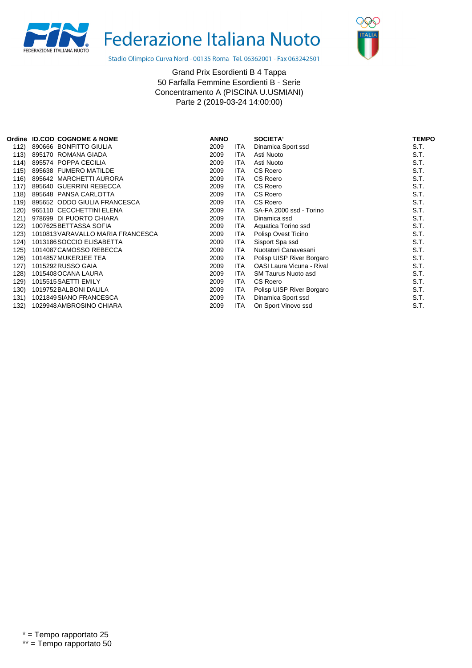



Stadio Olimpico Curva Nord - 00135 Roma Tel. 06362001 - Fax 063242501

|      | Ordine ID.COD COGNOME & NOME      | <b>ANNO</b> |            | <b>SOCIETA'</b>                  | <b>TEMPO</b> |
|------|-----------------------------------|-------------|------------|----------------------------------|--------------|
| 112) | 890666 BONFITTO GIULIA            | 2009        | <b>ITA</b> | Dinamica Sport ssd               | S.T.         |
| 113) | 895170 ROMANA GIADA               | 2009        | <b>ITA</b> | Asti Nuoto                       | S.T.         |
| 114) | 895574 POPPA CECILIA              | 2009        | ITA        | Asti Nuoto                       | S.T.         |
| 115) | 895638 FUMERO MATILDE             | 2009        | ITA        | CS Roero                         | S.T.         |
| 116) | 895642 MARCHETTI AURORA           | 2009        | ITA        | CS Roero                         | S.T.         |
| 117) | 895640 GUERRINI REBECCA           | 2009        | ITA        | CS Roero                         | S.T.         |
| 118) | 895648 PANSA CARLOTTA             | 2009        | <b>ITA</b> | CS Roero                         | S.T.         |
| 119) | 895652 ODDO GIULIA FRANCESCA      | 2009        | ITA        | CS Roero                         | S.T.         |
| 120) | 965110 CECCHETTINI ELENA          | 2009        | ITA        | SA-FA 2000 ssd - Torino          | S.T.         |
| 121) | 978699 DI PUORTO CHIARA           | 2009        | ITA        | Dinamica ssd                     | S.T.         |
| 122) | 1007625 BETTASSA SOFIA            | 2009        | ITA        | Aquatica Torino ssd              | S.T.         |
| 123) | 1010813 VARAVALLO MARIA FRANCESCA | 2009        | ITA        | Polisp Ovest Ticino              | S.T.         |
| 124) | 1013186 SOCCIO ELISABETTA         | 2009        | ITA        | Sisport Spa ssd                  | S.T.         |
| 125) | 1014087 CAMOSSO REBECCA           | 2009        | ITA        | Nuotatori Canavesani             | S.T.         |
| 126) | 1014857 MUKERJEE TEA              | 2009        | ITA        | Polisp UISP River Borgaro        | S.T.         |
| 127) | 1015292 RUSSO GAIA                | 2009        | <b>ITA</b> | <b>OASI Laura Vicuna - Rival</b> | S.T.         |
| 128) | 1015408 OCANA LAURA               | 2009        | ITA        | SM Taurus Nuoto asd              | S.T.         |
| 129) | 1015515 SAETTI EMILY              | 2009        | ITA        | CS Roero                         | S.T.         |
| 130) | 1019752 BALBONI DALILA            | 2009        | ITA        | Polisp UISP River Borgaro        | S.T.         |
| 131) | 1021849 SIANO FRANCESCA           | 2009        | <b>ITA</b> | Dinamica Sport ssd               | S.T.         |
| 132) | 1029948 AMBROSINO CHIARA          | 2009        | ITA        | On Sport Vinovo ssd              | S.T.         |
|      |                                   |             |            |                                  |              |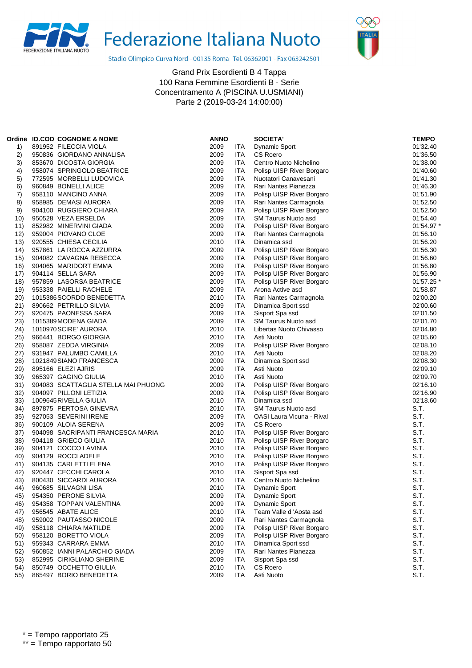



Stadio Olimpico Curva Nord - 00135 Roma Tel. 06362001 - Fax 063242501

| Ordine | <b>ID.COD COGNOME &amp; NOME</b>    | <b>ANNO</b> |            | <b>SOCIETA'</b>            | <b>TEMPO</b> |
|--------|-------------------------------------|-------------|------------|----------------------------|--------------|
| 1)     | 891952 FILECCIA VIOLA               | 2009        | ITA        | <b>Dynamic Sport</b>       | 01'32.40     |
| 2)     | 950836 GIORDANO ANNALISA            | 2009        | <b>ITA</b> | CS Roero                   | 01'36.50     |
| 3)     | 853670 DICOSTA GIORGIA              | 2009        | ITA        | Centro Nuoto Nichelino     | 01'38.00     |
| 4)     | 958074 SPRINGOLO BEATRICE           | 2009        | ITA        | Polisp UISP River Borgaro  | 01'40.60     |
| 5)     | 772595 MORBELLI LUDOVICA            | 2009        | ITA        | Nuotatori Canavesani       | 01'41.30     |
| 6)     | 960849 BONELLI ALICE                | 2009        | ITA        | Rari Nantes Pianezza       | 01'46.30     |
| 7)     | 958110 MANCINO ANNA                 | 2009        | <b>ITA</b> | Polisp UISP River Borgaro  | 01'51.90     |
| 8)     | 958985 DEMASI AURORA                | 2009        | ITA        | Rari Nantes Carmagnola     | 01'52.50     |
| 9)     | 904100 RUGGIERO CHIARA              | 2009        | ITA        | Polisp UISP River Borgaro  | 01'52.50     |
| 10)    | 950528 VEZA ERSELDA                 | 2009        | ITA        | SM Taurus Nuoto asd        | 01'54.40     |
| 11)    | 852982 MINERVINI GIADA              | 2009        | ITA        | Polisp UISP River Borgaro  | 01'54.97     |
| 12)    | 959004 PIOVANO CLOE                 | 2009        | ITA        | Rari Nantes Carmagnola     | 01'56.10     |
| 13)    | 920555 CHIESA CECILIA               | 2010        | ITA        | Dinamica ssd               | 01'56.20     |
| 14)    | 957861 LA ROCCA AZZURRA             | 2009        | ITA        | Polisp UISP River Borgaro  | 01'56.30     |
| 15)    | 904082 CAVAGNA REBECCA              | 2009        | ITA        | Polisp UISP River Borgaro  | 01'56.60     |
| 16)    | 904065 MARIDORT EMMA                | 2009        | ITA        | Polisp UISP River Borgaro  | 01'56.80     |
| 17)    | 904114 SELLA SARA                   | 2009        | ITA        | Polisp UISP River Borgaro  | 01'56.90     |
| 18)    | 957859 LASORSA BEATRICE             | 2009        | ITA        | Polisp UISP River Borgaro  | 01'57.25 *   |
| 19)    | 953338 PAIELLI RACHELE              | 2009        | ITA        | Arona Active asd           | 01'58.87     |
| 20)    | 1015386 SCORDO BENEDETTA            | 2010        | <b>ITA</b> | Rari Nantes Carmagnola     | 02'00.20     |
| 21)    | 890662 PETRILLO SILVIA              | 2009        | <b>ITA</b> | Dinamica Sport ssd         | 02'00.60     |
| 22)    | 920475 PAONESSA SARA                | 2009        | <b>ITA</b> | Sisport Spa ssd            | 02'01.50     |
| 23)    | 1015389 MODENA GIADA                | 2009        | ITA        | <b>SM Taurus Nuoto asd</b> | 02'01.70     |
| 24)    | 1010970 SCIRE' AURORA               | 2010        | ITA        | Libertas Nuoto Chivasso    | 02'04.80     |
| 25)    | 966441 BORGO GIORGIA                | 2010        | ITA        | Asti Nuoto                 | 02'05.60     |
| 26)    | 958087 ZEDDA VIRGINIA               | 2009        | <b>ITA</b> | Polisp UISP River Borgaro  | 02'08.10     |
| 27)    | 931947 PALUMBO CAMILLA              | 2010        | ITA        | Asti Nuoto                 | 02'08.20     |
| 28)    | 1021849 SIANO FRANCESCA             | 2009        | ITA        | Dinamica Sport ssd         | 02'08.30     |
| 29)    | 895166 ELEZI AJRIS                  | 2009        | ITA        | Asti Nuoto                 | 02'09.10     |
| 30)    | 965397 GAGINO GIULIA                | 2010        | ITA        | Asti Nuoto                 | 02'09.70     |
| 31)    | 904083 SCATTAGLIA STELLA MAI PHUONG | 2009        | <b>ITA</b> | Polisp UISP River Borgaro  | 02'16.10     |
| 32)    | 904097 PILLONI LETIZIA              | 2009        | <b>ITA</b> | Polisp UISP River Borgaro  | 02'16.90     |
| 33)    | 1009645 RIVELLA GIULIA              | 2010        | ITA        | Dinamica ssd               | 02'18.60     |
| 34)    | 897875 PERTOSA GINEVRA              | 2010        | ITA        | <b>SM Taurus Nuoto asd</b> | S.T.         |
| 35)    | 927053 SEVERINI IRENE               | 2009        | ITA        | OASI Laura Vicuna - Rival  | S.T.         |
| 36)    | 900109 ALOIA SERENA                 | 2009        | ITA        | CS Roero                   | S.T.         |
| 37)    | 904098 SACRIPANTI FRANCESCA MARIA   | 2010        | ITA        | Polisp UISP River Borgaro  | S.T.         |
| 38)    | 904118 GRIECO GIULIA                | 2010        | ITA        | Polisp UISP River Borgaro  | S.T.         |
| 39)    | 904121 COCCO LAVINIA                | 2010        | <b>ITA</b> | Polisp UISP River Borgaro  | S.T.         |
| 40)    | 904129 ROCCI ADELE                  | 2010        | <b>ITA</b> | Polisp UISP River Borgaro  | S.T.         |
| 41)    | 904135 CARLETTI ELENA               | 2010        | <b>ITA</b> | Polisp UISP River Borgaro  | S.T.         |
| 42)    | 920447 CECCHI CAROLA                | 2010        | ITA        | Sisport Spa ssd            | S.T.         |
| 43)    | 800430 SICCARDI AURORA              | 2010        | ITA        | Centro Nuoto Nichelino     | S.T.         |
| 44)    | 960685 SILVAGNI LISA                | 2010        | ITA        | <b>Dynamic Sport</b>       | S.T.         |
| 45)    | 954350 PERONE SILVIA                | 2009        | ITA        | Dynamic Sport              | S.T.         |
| 46)    | 954358 TOPPAN VALENTINA             | 2009        | <b>ITA</b> | <b>Dynamic Sport</b>       | S.T.         |
| 47)    | 956545 ABATE ALICE                  | 2010        | <b>ITA</b> | Team Valle d 'Aosta asd    | S.T.         |
| 48)    | 959002 PAUTASSO NICOLE              | 2009        | ITA        | Rari Nantes Carmagnola     | S.T.         |
| 49)    | 958118 CHIARA MATILDE               | 2009        | <b>ITA</b> | Polisp UISP River Borgaro  | S.T.         |
| 50)    | 958120 BORETTO VIOLA                | 2009        | ITA        | Polisp UISP River Borgaro  | S.T.         |
| 51)    | 959343 CARRARA EMMA                 | 2010        | <b>ITA</b> | Dinamica Sport ssd         | S.T.         |
| 52)    | 960852 IANNI PALARCHIO GIADA        | 2009        | <b>ITA</b> | Rari Nantes Pianezza       | S.T.         |
| 53)    | 852995 CIRIGLIANO SHERINE           | 2009        | <b>ITA</b> | Sisport Spa ssd            | S.T.         |
| 54)    | 850749 OCCHETTO GIULIA              | 2010        | ITA        | CS Roero                   | S.T.         |
| 55)    | 865497 BORIO BENEDETTA              | 2009        | <b>ITA</b> | Asti Nuoto                 | S.T.         |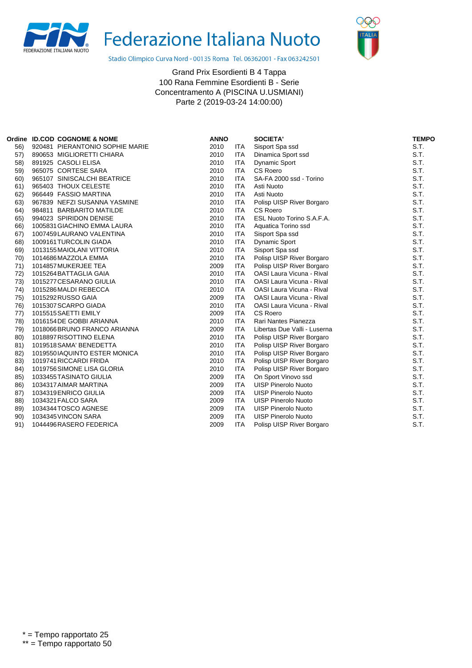



Stadio Olimpico Curva Nord - 00135 Roma Tel. 06362001 - Fax 063242501

|     | Ordine ID.COD COGNOME & NOME    | <b>ANNO</b> |            | <b>SOCIETA'</b>                  | <b>TEMPO</b> |
|-----|---------------------------------|-------------|------------|----------------------------------|--------------|
| 56) | 920481 PIERANTONIO SOPHIE MARIE | 2010        | <b>ITA</b> | Sisport Spa ssd                  | S.T.         |
| 57) | 890653 MIGLIORETTI CHIARA       | 2010        | <b>ITA</b> | Dinamica Sport ssd               | S.T.         |
| 58) | 891925 CASOLI ELISA             | 2010        | <b>ITA</b> | <b>Dynamic Sport</b>             | S.T.         |
| 59) | 965075 CORTESE SARA             | 2010        | <b>ITA</b> | <b>CS Roero</b>                  | S.T.         |
| 60) | 965107 SINISCALCHI BEATRICE     | 2010        | <b>ITA</b> | SA-FA 2000 ssd - Torino          | S.T.         |
| 61) | 965403 THOUX CELESTE            | 2010        | <b>ITA</b> | Asti Nuoto                       | S.T.         |
| 62) | 966449 FASSIO MARTINA           | 2010        | <b>ITA</b> | Asti Nuoto                       | S.T.         |
| 63) | 967839 NEFZI SUSANNA YASMINE    | 2010        | <b>ITA</b> | Polisp UISP River Borgaro        | S.T.         |
| 64) | 984811 BARBARITO MATILDE        | 2010        | <b>ITA</b> | CS Roero                         | S.T.         |
| 65) | 994023 SPIRIDON DENISE          | 2010        | <b>ITA</b> | ESL Nuoto Torino S.A.F.A.        | S.T.         |
| 66) | 1005831 GIACHINO EMMA LAURA     | 2010        | <b>ITA</b> | Aquatica Torino ssd              | S.T.         |
| 67) | 1007459 LAURANO VALENTINA       | 2010        | <b>ITA</b> | Sisport Spa ssd                  | S.T.         |
| 68) | 1009161 TURCOLIN GIADA          | 2010        | <b>ITA</b> | Dynamic Sport                    | S.T.         |
| 69) | 1013155 MAIOLANI VITTORIA       | 2010        | <b>ITA</b> | Sisport Spa ssd                  | S.T.         |
| 70) | 1014686 MAZZOLA EMMA            | 2010        | <b>ITA</b> | Polisp UISP River Borgaro        | S.T.         |
| 71) | 1014857 MUKERJEE TEA            | 2009        | <b>ITA</b> | Polisp UISP River Borgaro        | S.T.         |
| 72) | 1015264 BATTAGLIA GAIA          | 2010        | <b>ITA</b> | <b>OASI Laura Vicuna - Rival</b> | S.T.         |
| 73) | 1015277 CESARANO GIULIA         | 2010        | <b>ITA</b> | OASI Laura Vicuna - Rival        | S.T.         |
| 74) | 1015286 MALDI REBECCA           | 2010        | <b>ITA</b> | OASI Laura Vicuna - Rival        | S.T.         |
| 75) | 1015292 RUSSO GAIA              | 2009        | <b>ITA</b> | <b>OASI Laura Vicuna - Rival</b> | S.T.         |
| 76) | 1015307 SCARPO GIADA            | 2010        | <b>ITA</b> | <b>OASI Laura Vicuna - Rival</b> | S.T.         |
| 77) | 1015515 SAETTI EMILY            | 2009        | <b>ITA</b> | CS Roero                         | S.T.         |
| 78) | 1016154 DE GOBBI ARIANNA        | 2010        | <b>ITA</b> | Rari Nantes Pianezza             | S.T.         |
| 79) | 1018066 BRUNO FRANCO ARIANNA    | 2009        | <b>ITA</b> | Libertas Due Valli - Luserna     | S.T.         |
| 80) | 1018897 RISOTTINO ELENA         | 2010        | <b>ITA</b> | Polisp UISP River Borgaro        | S.T.         |
| 81) | 1019518 SAMA' BENEDETTA         | 2010        | <b>ITA</b> | Polisp UISP River Borgaro        | S.T.         |
| 82) | 1019550IAQUINTO ESTER MONICA    | 2010        | <b>ITA</b> | Polisp UISP River Borgaro        | S.T.         |
| 83) | 1019741 RICCARDI FRIDA          | 2010        | <b>ITA</b> | Polisp UISP River Borgaro        | S.T.         |
| 84) | 1019756 SIMONE LISA GLORIA      | 2010        | <b>ITA</b> | Polisp UISP River Borgaro        | S.T.         |
| 85) | 1033455 TASINATO GIULIA         | 2009        | <b>ITA</b> | On Sport Vinovo ssd              | S.T.         |
| 86) | 1034317 AIMAR MARTINA           | 2009        | <b>ITA</b> | <b>UISP Pinerolo Nuoto</b>       | S.T.         |
| 87) | 1034319 ENRICO GIULIA           | 2009        | <b>ITA</b> | <b>UISP Pinerolo Nuoto</b>       | S.T.         |
| 88) | 1034321 FALCO SARA              | 2009        | <b>ITA</b> | UISP Pinerolo Nuoto              | S.T.         |
| 89) | 1034344 TOSCO AGNESE            | 2009        | <b>ITA</b> | <b>UISP Pinerolo Nuoto</b>       | S.T.         |
| 90) | 1034345 VINCON SARA             | 2009        | <b>ITA</b> | <b>UISP Pinerolo Nuoto</b>       | S.T.         |
| 91) | 1044496 RASERO FEDERICA         | 2009        | <b>ITA</b> | Polisp UISP River Borgaro        | S.T.         |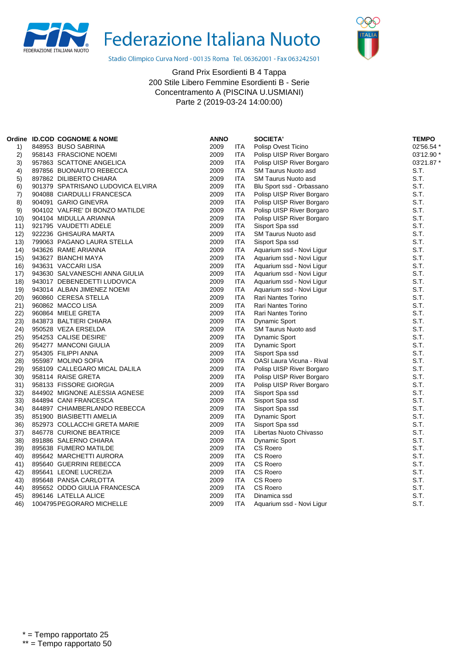



Stadio Olimpico Curva Nord - 00135 Roma Tel. 06362001 - Fax 063242501

|      | Ordine ID.COD COGNOME & NOME      | <b>ANNO</b> |            | <b>SOCIETA'</b>           | <b>TEMPO</b> |
|------|-----------------------------------|-------------|------------|---------------------------|--------------|
| 1)   | 848953 BUSO SABRINA               | 2009        | ITA        | Polisp Ovest Ticino       | 02'56.54 *   |
| 2)   | 958143 FRASCIONE NOEMI            | 2009        | ITA        | Polisp UISP River Borgaro | 03'12.90 *   |
| 3)   | 957863 SCATTONE ANGELICA          | 2009        | <b>ITA</b> | Polisp UISP River Borgaro | 03'21.87 *   |
| 4)   | 897856 BUONAIUTO REBECCA          | 2009        | <b>ITA</b> | SM Taurus Nuoto asd       | S.T.         |
| 5)   | 897862 DILIBERTO CHIARA           | 2009        | <b>ITA</b> | SM Taurus Nuoto asd       | S.T.         |
| 6)   | 901379 SPATRISANO LUDOVICA ELVIRA | 2009        | <b>ITA</b> | Blu Sport ssd - Orbassano | S.T.         |
| 7)   | 904088 CIARDULLI FRANCESCA        | 2009        | ITA        | Polisp UISP River Borgaro | S.T.         |
| 8)   | 904091 GARIO GINEVRA              | 2009        | <b>ITA</b> | Polisp UISP River Borgaro | S.T.         |
| 9)   | 904102 VALFRE' DI BONZO MATILDE   | 2009        | <b>ITA</b> | Polisp UISP River Borgaro | S.T.         |
| 10)  | 904104 MIDULLA ARIANNA            | 2009        | <b>ITA</b> | Polisp UISP River Borgaro | S.T.         |
| 11)  | 921795 VAUDETTI ADELE             | 2009        | <b>ITA</b> | Sisport Spa ssd           | S.T.         |
| 12)  | 922236 GHISAURA MARTA             | 2009        | <b>ITA</b> | SM Taurus Nuoto asd       | S.T.         |
| 13)  | 799063 PAGANO LAURA STELLA        | 2009        | ITA        | Sisport Spa ssd           | S.T.         |
| (14) | 943626 RAME ARIANNA               | 2009        | <b>ITA</b> | Aquarium ssd - Novi Ligur | S.T.         |
| 15)  | 943627 BIANCHI MAYA               | 2009        | <b>ITA</b> | Aquarium ssd - Novi Ligur | S.T.         |
| 16)  | 943631 VACCARI LISA               | 2009        | <b>ITA</b> | Aquarium ssd - Novi Ligur | S.T.         |
| 17)  | 943630 SALVANESCHI ANNA GIULIA    | 2009        | <b>ITA</b> | Aquarium ssd - Novi Ligur | S.T.         |
| 18)  | 943017 DEBENEDETTI LUDOVICA       | 2009        | ITA        | Aquarium ssd - Novi Ligur | S.T.         |
| 19)  | 943014 ALBAN JIMENEZ NOEMI        | 2009        | ITA        | Aquarium ssd - Novi Ligur | S.T.         |
| 20)  | 960860 CERESA STELLA              | 2009        | <b>ITA</b> | Rari Nantes Torino        | S.T.         |
| 21)  | 960862 MACCO LISA                 | 2009        | <b>ITA</b> | Rari Nantes Torino        | S.T.         |
| 22)  | 960864 MIELE GRETA                | 2009        | <b>ITA</b> | Rari Nantes Torino        | S.T.         |
| 23)  | 843873 BALTIERI CHIARA            | 2009        | ITA        | <b>Dynamic Sport</b>      | S.T.         |
| 24)  | 950528 VEZA ERSELDA               | 2009        | <b>ITA</b> | SM Taurus Nuoto asd       | S.T.         |
| 25)  | 954253 CALISE DESIRE'             | 2009        | <b>ITA</b> | <b>Dynamic Sport</b>      | S.T.         |
| 26)  | 954277 MANCONI GIULIA             | 2009        | ITA        | <b>Dynamic Sport</b>      | S.T.         |
| 27)  | 954305 FILIPPI ANNA               | 2009        | <b>ITA</b> | Sisport Spa ssd           | S.T.         |
| 28)  | 955987 MOLINO SOFIA               | 2009        | <b>ITA</b> | OASI Laura Vicuna - Rival | S.T.         |
| 29)  | 958109 CALLEGARO MICAL DALILA     | 2009        | ITA        | Polisp UISP River Borgaro | S.T.         |
| 30)  | 958114 RAISE GRETA                | 2009        | <b>ITA</b> | Polisp UISP River Borgaro | S.T.         |
| 31)  | 958133 FISSORE GIORGIA            | 2009        | ITA        | Polisp UISP River Borgaro | S.T.         |
| 32)  | 844902 MIGNONE ALESSIA AGNESE     | 2009        | ITA        | Sisport Spa ssd           | S.T.         |
| 33)  | 844894 CANI FRANCESCA             | 2009        | ITA        | Sisport Spa ssd           | S.T.         |
| 34)  | 844897 CHIAMBERLANDO REBECCA      | 2009        | <b>ITA</b> | Sisport Spa ssd           | S.T.         |
| 35)  | 851900 BIASIBETTI AMELIA          | 2009        | <b>ITA</b> | <b>Dynamic Sport</b>      | S.T.         |
| 36)  | 852973 COLLACCHI GRETA MARIE      | 2009        | <b>ITA</b> | Sisport Spa ssd           | S.T.         |
| 37)  | 846778 CURIONE BEATRICE           | 2009        | ITA        | Libertas Nuoto Chivasso   | S.T.         |
| 38)  | 891886 SALERNO CHIARA             | 2009        | ITA        | <b>Dynamic Sport</b>      | S.T.         |
| 39)  | 895638 FUMERO MATILDE             | 2009        | <b>ITA</b> | CS Roero                  | S.T.         |
| 40)  | 895642 MARCHETTI AURORA           | 2009        | <b>ITA</b> | CS Roero                  | S.T.         |
| 41)  | 895640 GUERRINI REBECCA           | 2009        | <b>ITA</b> | CS Roero                  | S.T.         |
| 42)  | 895641 LEONE LUCREZIA             | 2009        | <b>ITA</b> | CS Roero                  | S.T.         |
| 43)  | 895648 PANSA CARLOTTA             | 2009        | <b>ITA</b> | CS Roero                  | S.T.         |
| 44)  | 895652 ODDO GIULIA FRANCESCA      | 2009        | <b>ITA</b> | <b>CS Roero</b>           | S.T.         |
| 45)  | 896146 LATELLA ALICE              | 2009        | ITA        | Dinamica ssd              | S.T.         |
| 46)  | 1004795 PEGORARO MICHELLE         | 2009        | <b>ITA</b> | Aquarium ssd - Novi Ligur | S.T.         |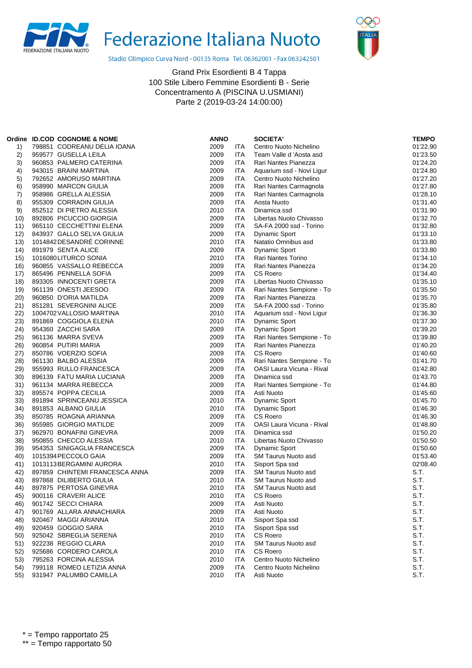



Stadio Olimpico Curva Nord - 00135 Roma Tel. 06362001 - Fax 063242501

| Ordine | <b>ID.COD COGNOME &amp; NOME</b> | <b>ANNO</b> |            | <b>SOCIETA'</b>                  | <b>TEMPO</b> |
|--------|----------------------------------|-------------|------------|----------------------------------|--------------|
| 1)     | 798851 CODREANU DELIA IOANA      | 2009        | ITA        | Centro Nuoto Nichelino           | 01'22.90     |
| 2)     | 959577 GUSELLA LEILA             | 2009        | ITA        | Team Valle d 'Aosta asd          | 01'23.50     |
| 3)     | 960853 PALMERO CATERINA          | 2009        | ITA        | Rari Nantes Pianezza             | 01'24.20     |
| 4)     | 943015 BRAINI MARTINA            | 2009        | ITA        | Aquarium ssd - Novi Ligur        | 01'24.80     |
| 5)     | 792652 AMORUSO MARTINA           | 2009        | ITA        | Centro Nuoto Nichelino           | 01'27.20     |
| 6)     | 958990 MARCON GIULIA             | 2009        | ITA        | Rari Nantes Carmagnola           | 01'27.80     |
| 7)     | 958986 GRELLA ALESSIA            | 2009        | ITA        | Rari Nantes Carmagnola           | 01'28.10     |
| 8)     | 955309 CORRADIN GIULIA           | 2009        | ITA        | Aosta Nuoto                      | 01'31.40     |
| 9)     | 852512 DI PIETRO ALESSIA         | 2010        | ITA        | Dinamica ssd                     | 01'31.90     |
| 10)    | 892806 PICUCCIO GIORGIA          | 2009        | ITA        | Libertas Nuoto Chivasso          | 01'32.70     |
| 11)    | 965110 CECCHETTINI ELENA         | 2009        | ITA        | SA-FA 2000 ssd - Torino          | 01'32.80     |
| 12)    | 843937 GALLO SELVA GIULIA        | 2009        | ITA        | <b>Dynamic Sport</b>             | 01'33.10     |
| (13)   | 1014842 DESANDRÉ CORINNE         | 2010        | ITA        | Natatio Omnibus asd              | 01'33.80     |
| 14)    | 891979 SENTA ALICE               | 2009        | <b>ITA</b> | <b>Dynamic Sport</b>             | 01'33.80     |
| 15)    | 1016080LITURCO SONIA             | 2010        | ITA        | Rari Nantes Torino               | 01'34.10     |
| 16)    | 960855 VASSALLO REBECCA          | 2009        | ITA        | Rari Nantes Pianezza             | 01'34.20     |
| 17)    | 865496 PENNELLA SOFIA            | 2009        | ITA        | CS Roero                         | 01'34.40     |
| 18)    | 893305 INNOCENTI GRETA           | 2009        | ITA        | Libertas Nuoto Chivasso          | 01'35.10     |
| 19)    | 961139 ONESTI JEESOO             | 2009        | <b>ITA</b> | Rari Nantes Sempione - To        | 01'35.50     |
| 20)    | 960850 D'ORIA MATILDA            | 2009        | ITA        | Rari Nantes Pianezza             | 01'35.70     |
| 21)    | 851281 SEVERGNINI ALICE          | 2009        | <b>ITA</b> | SA-FA 2000 ssd - Torino          | 01'35.80     |
| 22)    | 1004702 VALLOSIO MARTINA         | 2010        | <b>ITA</b> | Aquarium ssd - Novi Ligur        | 01'36.30     |
| 23)    | 891869 COGGIOLA ELENA            | 2010        | <b>ITA</b> | <b>Dynamic Sport</b>             | 01'37.30     |
| 24)    | 954360 ZACCHI SARA               | 2009        | <b>ITA</b> | <b>Dynamic Sport</b>             | 01'39.20     |
| 25)    | 961136 MARRA SVEVA               | 2009        | ITA        | Rari Nantes Sempione - To        | 01'39.80     |
| 26)    | 960854 PUTIRI MARIA              | 2009        | ITA        | Rari Nantes Pianezza             | 01'40.20     |
| 27)    | 850786 VOERZIO SOFIA             | 2009        | <b>ITA</b> | CS Roero                         | 01'40.60     |
| 28)    | 961130 BALBO ALESSIA             | 2009        | <b>ITA</b> | Rari Nantes Sempione - To        | 01'41.70     |
| 29)    | 955993 RULLO FRANCESCA           | 2009        | ITA        | OASI Laura Vicuna - Rival        | 01'42.80     |
| 30)    | 896139 FATU MARIA LUCIANA        | 2009        | ITA        | Dinamica ssd                     | 01'43.70     |
| 31)    | 961134 MARRA REBECCA             | 2009        | ITA        | Rari Nantes Sempione - To        | 01'44.80     |
| 32)    | 895574 POPPA CECILIA             | 2009        | ITA        | Asti Nuoto                       | 01'45.60     |
| 33)    | 891894 SPRINCEANU JESSICA        | 2010        | ITA        | <b>Dynamic Sport</b>             | 01'45.70     |
| 34)    | 891853 ALBANO GIULIA             | 2010        | ITA        | Dynamic Sport                    | 01'46.30     |
| 35)    | 850785 ROAGNA ARIANNA            | 2009        | <b>ITA</b> | <b>CS Roero</b>                  | 01'46.30     |
| 36)    | 955985 GIORGIO MATILDE           | 2009        | ITA        | <b>OASI Laura Vicuna - Rival</b> | 01'48.80     |
| 37)    | 962970 BONAFINI GINEVRA          | 2009        | ITA        | Dinamica ssd                     | 01'50.20     |
| 38)    | 950855 CHECCO ALESSIA            | 2010        | ITA        | Libertas Nuoto Chivasso          | 01'50.50     |
| 39)    | 954353 SINIGAGLIA FRANCESCA      | 2009        | ITA        | <b>Dynamic Sport</b>             | 01'50.60     |
| 40)    | 1015394 PECCOLO GAIA             | 2009        | <b>ITA</b> | SM Taurus Nuoto asd              | 01'53.40     |
| 41)    | 1013113 BERGAMINI AURORA         | 2010        | <b>ITA</b> | Sisport Spa ssd                  | 02'08.40     |
| 42)    | 897859 CHINTEMI FRANCESCA ANNA   | 2009        | ITA        | SM Taurus Nuoto asd              | S.T.         |
| 43)    | 897868 DILIBERTO GIULIA          | 2010        | ITA        | <b>SM Taurus Nuoto asd</b>       | S.T.         |
| 44)    | 897875 PERTOSA GINEVRA           | 2010        | <b>ITA</b> | SM Taurus Nuoto asd              | S.T.         |
| 45)    | 900116 CRAVERI ALICE             | 2010        | ITA        | CS Roero                         | S.T.         |
| 46)    | 901742 SECCI CHIARA              | 2009        | ITA        | Asti Nuoto                       | S.T.         |
| 47)    | 901769 ALLARA ANNACHIARA         | 2009        | <b>ITA</b> | Asti Nuoto                       | S.T.         |
| 48)    | 920467 MAGGI ARIANNA             | 2010        | ITA        | Sisport Spa ssd                  | S.T.         |
| 49)    | 920459 GOGGIO SARA               | 2010        | <b>ITA</b> | Sisport Spa ssd                  | S.T.         |
| 50)    | 925042 SBREGLIA SERENA           | 2010        | <b>ITA</b> | <b>CS Roero</b>                  | S.T.         |
| 51)    | 922238 REGGIO CLARA              | 2010        | ITA        | SM Taurus Nuoto asd              | S.T.         |
| 52)    | 925686 CORDERO CAROLA            | 2010        | <b>ITA</b> | CS Roero                         | S.T.         |
| 53)    | 795263 FORCINA ALESSIA           | 2010        | ITA        | Centro Nuoto Nichelino           | S.T.         |
| 54)    | 799118 ROMEO LETIZIA ANNA        | 2009        | <b>ITA</b> | Centro Nuoto Nichelino           | S.T.         |
| 55)    | 931947 PALUMBO CAMILLA           | 2010        | <b>ITA</b> | Asti Nuoto                       | S.T.         |
|        |                                  |             |            |                                  |              |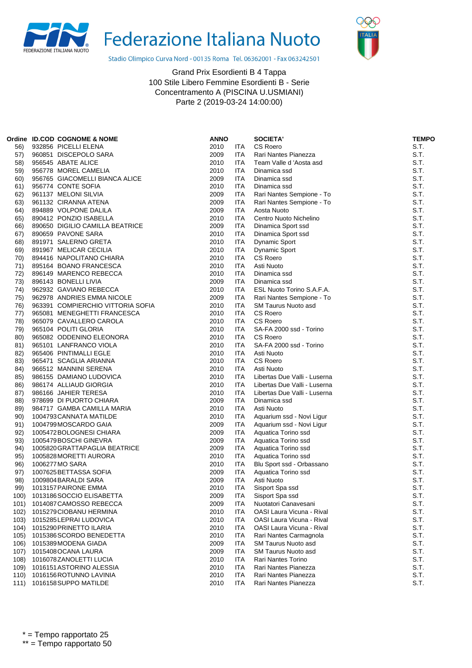



Stadio Olimpico Curva Nord - 00135 Roma Tel. 06362001 - Fax 063242501

|      | Ordine ID.COD COGNOME & NOME      | <b>ANNO</b> |            | <b>SOCIETA'</b>                  | <b>TEMPO</b> |
|------|-----------------------------------|-------------|------------|----------------------------------|--------------|
| 56)  | 932856 PICELLI ELENA              | 2010        | ITA.       | <b>CS Roero</b>                  | S.T.         |
| 57)  | 960851 DISCEPOLO SARA             | 2009        | <b>ITA</b> | Rari Nantes Pianezza             | S.T.         |
| 58)  | 956545 ABATE ALICE                | 2010        | <b>ITA</b> | Team Valle d 'Aosta asd          | S.T.         |
| 59)  | 956778 MOREL CAMELIA              | 2010        | ITA        | Dinamica ssd                     | S.T.         |
| 60)  | 956765 GIACOMELLI BIANCA ALICE    | 2009        | ITA        | Dinamica ssd                     | S.T.         |
| 61)  | 956774 CONTE SOFIA                | 2010        | ITA        | Dinamica ssd                     | S.T.         |
| 62)  | 961137 MELONI SILVIA              | 2009        | ITA.       | Rari Nantes Sempione - To        | S.T.         |
| 63)  | 961132 CIRANNA ATENA              | 2009        | ITA        | Rari Nantes Sempione - To        | S.T.         |
| 64)  | 894889 VOLPONE DALILA             | 2009        | ITA.       | Aosta Nuoto                      | S.T.         |
| 65)  | 890412 PONZIO ISABELLA            | 2010        | ITA.       | Centro Nuoto Nichelino           | S.T.         |
| 66)  | 890650 DIGILIO CAMILLA BEATRICE   | 2009        | ITA.       | Dinamica Sport ssd               | S.T.         |
| 67)  | 890659 PAVONE SARA                | 2010        | ITA        | Dinamica Sport ssd               | S.T.         |
| 68)  | 891971 SALERNO GRETA              | 2010        | ITA.       | Dynamic Sport                    | S.T.         |
| 69)  | 891967 MELICAR CECILIA            | 2010        | ITA.       | Dynamic Sport                    | S.T.         |
| 70)  | 894416 NAPOLITANO CHIARA          | 2010        | ITA.       | CS Roero                         | S.T.         |
| 71)  | 895164 BOANO FRANCESCA            | 2010        | ITA.       | Asti Nuoto                       | S.T.         |
| 72)  | 896149 MARENCO REBECCA            | 2010        | ITA        | Dinamica ssd                     | S.T.         |
| 73)  | 896143 BONELLI LIVIA              | 2009        | ITA.       | Dinamica ssd                     | S.T.         |
| 74)  | 962932 GAVIANO REBECCA            | 2010        | ITA.       | ESL Nuoto Torino S.A.F.A.        | S.T.         |
| 75)  | 962978 ANDRIES EMMA NICOLE        | 2009        | ITA.       | Rari Nantes Sempione - To        | S.T.         |
| 76)  | 963391 COMPIERCHIO VITTORIA SOFIA | 2010        | ITA.       | <b>SM Taurus Nuoto asd</b>       | S.T.         |
| 77)  | 965081 MENEGHETTI FRANCESCA       | 2010        | ITA.       | <b>CS Roero</b>                  | S.T.         |
| 78)  | 965079 CAVALLERO CAROLA           | 2010        | ITA.       | <b>CS Roero</b>                  | S.T.         |
| 79)  | 965104 POLITI GLORIA              | 2010        | ITA.       | SA-FA 2000 ssd - Torino          | S.T.         |
| 80)  | 965082 ODDENINO ELEONORA          | 2010        | ITA        | CS Roero                         | S.T.         |
| 81)  | 965101 LANFRANCO VIOLA            | 2010        | ITA        | SA-FA 2000 ssd - Torino          | S.T.         |
|      |                                   |             |            |                                  | S.T.         |
| 82)  | 965406 PINTIMALLI EGLE            | 2010        | ITA.       | Asti Nuoto                       |              |
| 83)  | 965471 SCAGLIA ARIANNA            | 2010        | ITA.       | CS Roero                         | S.T.<br>S.T. |
| 84)  | 966512 MANNINI SERENA             | 2010        | ITA.       | Asti Nuoto                       |              |
| 85)  | 986155 DAMIANO LUDOVICA           | 2010        | ITA.       | Libertas Due Valli - Luserna     | S.T.         |
| 86)  | 986174 ALLIAUD GIORGIA            | 2010        | <b>ITA</b> | Libertas Due Valli - Luserna     | S.T.         |
| 87)  | 986166 JAHIER TERESA              | 2010        | ITA.       | Libertas Due Valli - Luserna     | S.T.         |
| 88)  | 978699 DI PUORTO CHIARA           | 2009        | ITA.       | Dinamica ssd                     | S.T.         |
| 89)  | 984717 GAMBA CAMILLA MARIA        | 2010        | ITA.       | Asti Nuoto                       | S.T.         |
| 90)  | 1004793 CANNATA MATILDE           | 2010        | ITA        | Aquarium ssd - Novi Ligur        | S.T.         |
| 91)  | 1004799 MOSCARDO GAIA             | 2009        | ITA        | Aquarium ssd - Novi Ligur        | S.T.         |
| 92)  | 1005472BOLOGNESI CHIARA           | 2009        | <b>ITA</b> | Aquatica Torino ssd              | S.T.         |
| 93)  | 1005479 BOSCHI GINEVRA            | 2009        | ITA        | Aquatica Torino ssd              | S.T.         |
| 94)  | 1005820 GRATTAPAGLIA BEATRICE     | 2009        | ITA        | Aquatica Torino ssd              | S.T.         |
| 95)  | 1005828 MORETTI AURORA            | 2010        | ITA        | Aquatica Torino ssd              | S.T.         |
| 96)  | 1006277 MO SARA                   | 2010        | ITA.       | Blu Sport ssd - Orbassano        | S.T.         |
| 97)  | 1007625 BETTASSA SOFIA            | 2009        | ITA.       | Aquatica Torino ssd              | S.T.         |
| 98)  | 1009804 BARALDI SARA              | 2009        | <b>ITA</b> | Asti Nuoto                       | S.T.         |
| 99)  | 1013157 PAIRONE EMMA              | 2010        | ITA        | Sisport Spa ssd                  | S.T.         |
| 100) | 1013186 SOCCIO ELISABETTA         | 2009        | <b>ITA</b> | Sisport Spa ssd                  | S.T.         |
| 101) | 1014087 CAMOSSO REBECCA           | 2009        | ITA        | Nuotatori Canavesani             | S.T.         |
| 102) | 1015279 CIOBANU HERMINA           | 2010        | ITA        | OASI Laura Vicuna - Rival        | S.T.         |
| 103) | 1015285 LEPRAI LUDOVICA           | 2010        | ITA        | OASI Laura Vicuna - Rival        | S.T.         |
| 104) | 1015290 PRINETTO ILARIA           | 2010        | ITA        | <b>OASI Laura Vicuna - Rival</b> | S.T.         |
| 105) | 1015386 SCORDO BENEDETTA          | 2010        | ITA        | Rari Nantes Carmagnola           | S.T.         |
| 106) | 1015389 MODENA GIADA              | 2009        | ITA        | SM Taurus Nuoto asd              | S.T.         |
| 107) | 1015408 OCANA LAURA               | 2009        | ITA        | <b>SM Taurus Nuoto asd</b>       | S.T.         |
| 108) | 1016078ZANOLETTI LUCIA            | 2010        | ITA        | Rari Nantes Torino               | S.T.         |
| 109) | 1016151 ASTORINO ALESSIA          | 2010        | ITA        | Rari Nantes Pianezza             | S.T.         |
| 110) | 1016156 ROTUNNO LAVINIA           | 2010        | <b>ITA</b> | Rari Nantes Pianezza             | S.T.         |
| 111) | 1016158 SUPPO MATILDE             | 2010        | <b>ITA</b> | Rari Nantes Pianezza             | S.T.         |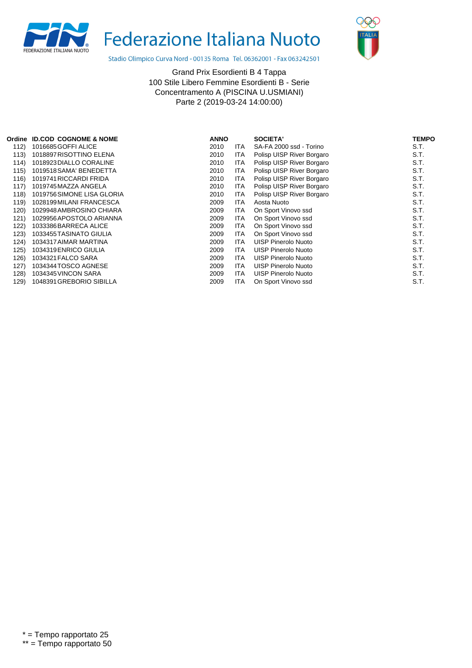



Stadio Olimpico Curva Nord - 00135 Roma Tel. 06362001 - Fax 063242501

| Ordine | <b>ID.COD COGNOME &amp; NOME</b> | <b>ANNO</b> |            | SOCIETA'                   | <b>TEMPO</b> |
|--------|----------------------------------|-------------|------------|----------------------------|--------------|
| 112)   | 1016685 GOFFI ALICE              | 2010        | <b>ITA</b> | SA-FA 2000 ssd - Torino    | S.T.         |
| 113)   | 1018897 RISOTTINO ELENA          | 2010        | <b>ITA</b> | Polisp UISP River Borgaro  | S.T.         |
| 114)   | 1018923 DIALLO CORALINE          | 2010        | <b>ITA</b> | Polisp UISP River Borgaro  | S.T.         |
| 115)   | 1019518 SAMA' BENEDETTA          | 2010        | <b>ITA</b> | Polisp UISP River Borgaro  | S.T.         |
| 116)   | 1019741 RICCARDI FRIDA           | 2010        | <b>ITA</b> | Polisp UISP River Borgaro  | S.T.         |
| 117)   | 1019745 MAZZA ANGELA             | 2010        | <b>ITA</b> | Polisp UISP River Borgaro  | S.T.         |
| 118)   | 1019756 SIMONE LISA GLORIA       | 2010        | <b>ITA</b> | Polisp UISP River Borgaro  | S.T.         |
| 119)   | 1028199 MILANI FRANCESCA         | 2009        | <b>ITA</b> | Aosta Nuoto                | S.T.         |
| 120)   | 1029948 AMBROSINO CHIARA         | 2009        | ITA        | On Sport Vinovo ssd        | S.T.         |
| 121)   | 1029956 APOSTOLO ARIANNA         | 2009        | <b>ITA</b> | On Sport Vinovo ssd        | S.T.         |
| 122)   | 1033386 BARRECA ALICE            | 2009        | ITA        | On Sport Vinovo ssd        | S.T.         |
| 123)   | 1033455 TASINATO GIULIA          | 2009        | ITA        | On Sport Vinovo ssd        | S.T.         |
| 124)   | 1034317 AIMAR MARTINA            | 2009        | ITA        | UISP Pinerolo Nuoto        | S.T.         |
| 125)   | 1034319 ENRICO GIULIA            | 2009        | ITA        | <b>UISP Pinerolo Nuoto</b> | S.T.         |
| 126)   | 1034321 FALCO SARA               | 2009        | ITA        | <b>UISP Pinerolo Nuoto</b> | S.T.         |
| 127)   | 1034344 TOSCO AGNESE             | 2009        | ITA        | UISP Pinerolo Nuoto        | S.T.         |
| 128)   | 1034345 VINCON SARA              | 2009        | <b>ITA</b> | UISP Pinerolo Nuoto        | S.T.         |
| 129)   | 1048391 GREBORIO SIBILLA         | 2009        | <b>ITA</b> | On Sport Vinovo ssd        | S.T.         |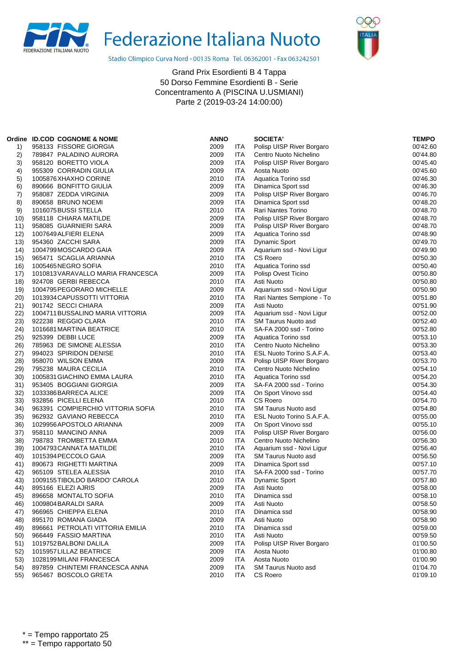



Stadio Olimpico Curva Nord - 00135 Roma Tel. 06362001 - Fax 063242501

|      | Ordine ID.COD COGNOME & NOME      | <b>ANNO</b> |            | <b>SOCIETA'</b>            | <b>TEMPO</b> |
|------|-----------------------------------|-------------|------------|----------------------------|--------------|
| 1)   | 958133 FISSORE GIORGIA            | 2009        | ITA        | Polisp UISP River Borgaro  | 00'42.60     |
| 2)   | 789847 PALADINO AURORA            | 2009        | ITA        | Centro Nuoto Nichelino     | 00'44.80     |
| 3)   | 958120 BORETTO VIOLA              | 2009        | <b>ITA</b> | Polisp UISP River Borgaro  | 00'45.40     |
| 4)   | 955309 CORRADIN GIULIA            | 2009        | <b>ITA</b> | Aosta Nuoto                | 00'45.60     |
| 5)   | 1005876 XHAXHO CORINE             | 2010        | ITA        | Aquatica Torino ssd        | 00'46.30     |
| 6)   | 890666 BONFITTO GIULIA            | 2009        | <b>ITA</b> | Dinamica Sport ssd         | 00'46.30     |
| 7)   | 958087 ZEDDA VIRGINIA             | 2009        | <b>ITA</b> | Polisp UISP River Borgaro  | 00'46.70     |
| 8)   | 890658 BRUNO NOEMI                | 2009        | ITA        | Dinamica Sport ssd         | 00'48.20     |
| 9)   | 1016075 BUSSI STELLA              | 2010        | <b>ITA</b> | Rari Nantes Torino         | 00'48.70     |
| 10)  | 958118 CHIARA MATILDE             | 2009        | ITA        | Polisp UISP River Borgaro  | 00'48.70     |
| 11)  | 958085 GUARNIERI SARA             | 2009        | ITA        | Polisp UISP River Borgaro  | 00'48.70     |
| 12)  | 1007649 ALFIERI ELENA             | 2009        | <b>ITA</b> | Aquatica Torino ssd        | 00'48.90     |
| 13)  | 954360 ZACCHI SARA                | 2009        | ITA        | <b>Dynamic Sport</b>       | 00'49.70     |
| 14)  | 1004799 MOSCARDO GAIA             | 2009        | <b>ITA</b> | Aquarium ssd - Novi Ligur  | 00'49.90     |
| 15)  | 965471 SCAGLIA ARIANNA            | 2010        | <b>ITA</b> | <b>CS Roero</b>            | 00'50.30     |
| 16)  | 1005465NEGRO SOFIA                | 2010        | ITA        | Aquatica Torino ssd        | 00'50.40     |
| 17)  | 1010813 VARAVALLO MARIA FRANCESCA | 2009        | ITA        | Polisp Ovest Ticino        | 00'50.80     |
| 18)  | 924708 GERBI REBECCA              | 2010        | <b>ITA</b> | Asti Nuoto                 | 00'50.80     |
| 19)  | 1004795 PEGORARO MICHELLE         | 2009        | ITA        | Aquarium ssd - Novi Ligur  | 00'50.90     |
| 20)  | 1013934 CAPUSSOTTI VITTORIA       | 2010        | ITA        | Rari Nantes Sempione - To  | 00'51.80     |
| 21)  | 901742 SECCI CHIARA               | 2009        | <b>ITA</b> | Asti Nuoto                 | 00'51.90     |
| 22)  | 1004711 BUSSALINO MARIA VITTORIA  | 2009        | <b>ITA</b> | Aquarium ssd - Novi Ligur  | 00'52.00     |
| 23)  | 922238 REGGIO CLARA               | 2010        | ITA        | SM Taurus Nuoto asd        | 00'52.40     |
| 24)  | 1016681 MARTINA BEATRICE          | 2010        | <b>ITA</b> | SA-FA 2000 ssd - Torino    | 00'52.80     |
| 25)  | 925399 DEBBI LUCE                 | 2009        | <b>ITA</b> | Aquatica Torino ssd        | 00'53.10     |
| 26)  | 785963 DE SIMONE ALESSIA          | 2010        | ITA        | Centro Nuoto Nichelino     | 00'53.30     |
| (27) | 994023 SPIRIDON DENISE            | 2010        | ITA        | ESL Nuoto Torino S.A.F.A.  | 00'53.40     |
| 28)  | 958070 WILSON EMMA                | 2009        | <b>ITA</b> | Polisp UISP River Borgaro  | 00'53.70     |
| 29)  | 795238 MAURA CECILIA              | 2010        | ITA        | Centro Nuoto Nichelino     | 00'54.10     |
| 30)  | 1005831 GIACHINO EMMA LAURA       | 2010        | <b>ITA</b> | Aquatica Torino ssd        | 00'54.20     |
| 31)  | 953405 BOGGIANI GIORGIA           | 2009        | <b>ITA</b> | SA-FA 2000 ssd - Torino    | 00'54.30     |
| 32)  | 1033386 BARRECA ALICE             | 2009        | <b>ITA</b> | On Sport Vinovo ssd        | 00'54.40     |
| 33)  | 932856 PICELLI ELENA              | 2010        | <b>ITA</b> | CS Roero                   | 00'54.70     |
| 34)  | 963391 COMPIERCHIO VITTORIA SOFIA | 2010        | <b>ITA</b> | <b>SM Taurus Nuoto asd</b> | 00'54.80     |
| 35)  | 962932 GAVIANO REBECCA            | 2010        | ITA        | ESL Nuoto Torino S.A.F.A.  | 00'55.00     |
| 36)  | 1029956 APOSTOLO ARIANNA          | 2009        | <b>ITA</b> | On Sport Vinovo ssd        | 00'55.10     |
| 37)  | 958110 MANCINO ANNA               | 2009        | <b>ITA</b> | Polisp UISP River Borgaro  | 00'56.00     |
| 38)  | 798783 TROMBETTA EMMA             | 2010        | ITA        | Centro Nuoto Nichelino     | 00'56.30     |
| 39)  | 1004793 CANNATA MATILDE           | 2010        | ITA        | Aquarium ssd - Novi Ligur  | 00'56.40     |
| 40)  | 1015394 PECCOLO GAIA              | 2009        | <b>ITA</b> | <b>SM Taurus Nuoto asd</b> | 00'56.50     |
| 41)  | 890673 RIGHETTI MARTINA           | 2009        | <b>ITA</b> | Dinamica Sport ssd         | 00'57.10     |
| 42)  | 965109 STELEA ALESSIA             | 2010        | ITA        | SA-FA 2000 ssd - Torino    | 00'57.70     |
| 43)  | 1009155TIBOLDO BARDO' CAROLA      | 2010        | ITA        | <b>Dynamic Sport</b>       | 00'57.80     |
| 44)  | 895166 ELEZI AJRIS                | 2009        | ITA        | Asti Nuoto                 | 00'58.00     |
| 45)  | 896658 MONTALTO SOFIA             | 2010        | ITA        | Dinamica ssd               | 00'58.10     |
| 46)  | 1009804 BARALDI SARA              | 2009        | ITA        | Asti Nuoto                 | 00'58.50     |
| 47)  | 966965 CHIEPPA ELENA              | 2010        | ITA        | Dinamica ssd               | 00'58.90     |
| 48)  | 895170 ROMANA GIADA               | 2009        | <b>ITA</b> | Asti Nuoto                 | 00'58.90     |
| 49)  | 896661 PETROLATI VITTORIA EMILIA  | 2010        | ITA        | Dinamica ssd               | 00'59.00     |
| 50)  | 966449 FASSIO MARTINA             | 2010        | <b>ITA</b> | Asti Nuoto                 | 00'59.50     |
| 51)  | 1019752 BALBONI DALILA            | 2009        | <b>ITA</b> | Polisp UISP River Borgaro  | 01'00.50     |
| 52)  | 1015957 LILLAZ BEATRICE           | 2009        | <b>ITA</b> | Aosta Nuoto                | 01'00.80     |
| 53)  | 1028199 MILANI FRANCESCA          | 2009        | ITA        | Aosta Nuoto                | 01'00.90     |
| 54)  | 897859 CHINTEMI FRANCESCA ANNA    | 2009        | <b>ITA</b> | SM Taurus Nuoto asd        | 01'04.70     |
| 55)  | 965467 BOSCOLO GRETA              | 2010        | ITA        | CS Roero                   | 01'09.10     |